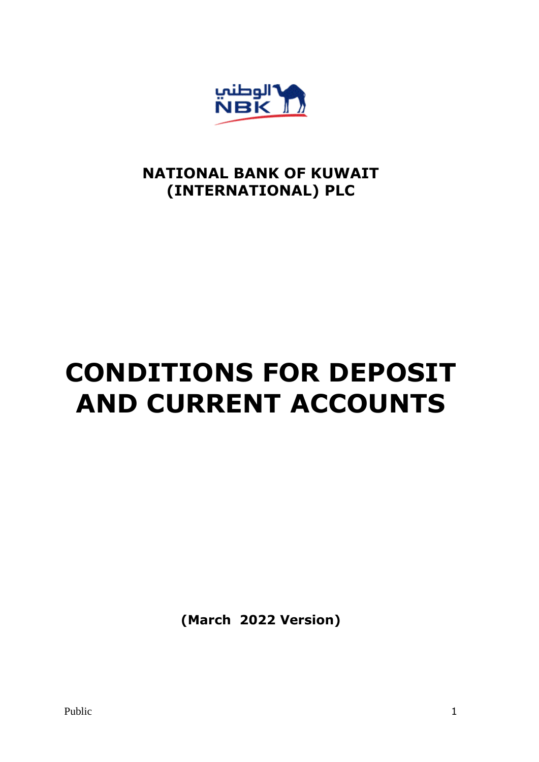

# **NATIONAL BANK OF KUWAIT (INTERNATIONAL) PLC**

# **CONDITIONS FOR DEPOSIT AND CURRENT ACCOUNTS**

**(March 2022 Version)**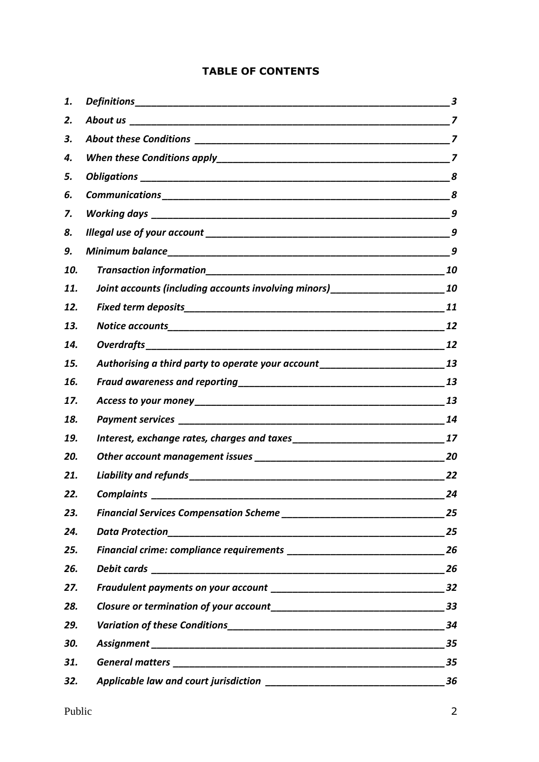# **TABLE OF CONTENTS**

| 1.  |                                                                                    | 3  |
|-----|------------------------------------------------------------------------------------|----|
| 2.  |                                                                                    |    |
| 3.  |                                                                                    |    |
| 4.  |                                                                                    |    |
| 5.  |                                                                                    | 8  |
| 6.  |                                                                                    | 8  |
| 7.  |                                                                                    | 9  |
| 8.  |                                                                                    |    |
| 9.  |                                                                                    | 9  |
| 10. |                                                                                    | 10 |
| 11. | Joint accounts (including accounts involving minors)____________________________10 |    |
| 12. |                                                                                    |    |
| 13. |                                                                                    |    |
| 14. |                                                                                    | 12 |
| 15. |                                                                                    |    |
| 16. |                                                                                    |    |
| 17. |                                                                                    |    |
| 18. |                                                                                    | 14 |
| 19. |                                                                                    |    |
| 20. |                                                                                    | 20 |
| 21. |                                                                                    | 22 |
| 22. | <b>Complaints</b>                                                                  | 24 |
| 23. |                                                                                    | 25 |
| 24. | <b>Data Protection</b>                                                             | 25 |
| 25. |                                                                                    | 26 |
| 26. |                                                                                    | 26 |
| 27. |                                                                                    | 32 |
| 28. |                                                                                    |    |
| 29. |                                                                                    | 34 |
| 30. |                                                                                    | 35 |
| 31. |                                                                                    | 35 |
| 32. |                                                                                    | 36 |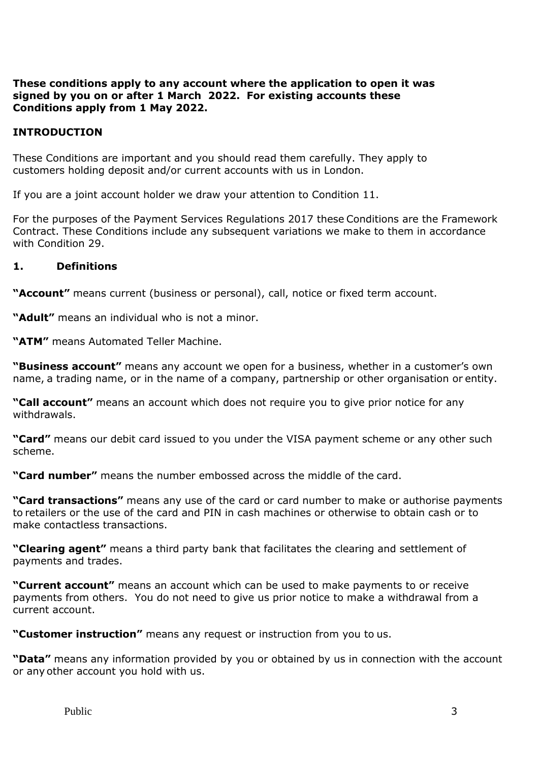#### **These conditions apply to any account where the application to open it was signed by you on or after 1 March 2022. For existing accounts these Conditions apply from 1 May 2022.**

# **INTRODUCTION**

These Conditions are important and you should read them carefully. They apply to customers holding deposit and/or current accounts with us in London.

If you are a joint account holder we draw your attention to Condition 11.

For the purposes of the Payment Services Regulations 2017 these Conditions are the Framework Contract. These Conditions include any subsequent variations we make to them in accordance with Condition 29.

#### <span id="page-2-0"></span>**1. Definitions**

**"Account"** means current (business or personal), call, notice or fixed term account.

**"Adult"** means an individual who is not a minor.

**"ATM"** means Automated Teller Machine.

**"Business account"** means any account we open for a business, whether in a customer's own name, a trading name, or in the name of a company, partnership or other organisation or entity.

**"Call account"** means an account which does not require you to give prior notice for any withdrawals.

**"Card"** means our debit card issued to you under the VISA payment scheme or any other such scheme.

**"Card number"** means the number embossed across the middle of the card.

**"Card transactions"** means any use of the card or card number to make or authorise payments to retailers or the use of the card and PIN in cash machines or otherwise to obtain cash or to make contactless transactions.

**"Clearing agent"** means a third party bank that facilitates the clearing and settlement of payments and trades.

**"Current account"** means an account which can be used to make payments to or receive payments from others. You do not need to give us prior notice to make a withdrawal from a current account.

**"Customer instruction"** means any request or instruction from you to us.

**"Data"** means any information provided by you or obtained by us in connection with the account or any other account you hold with us.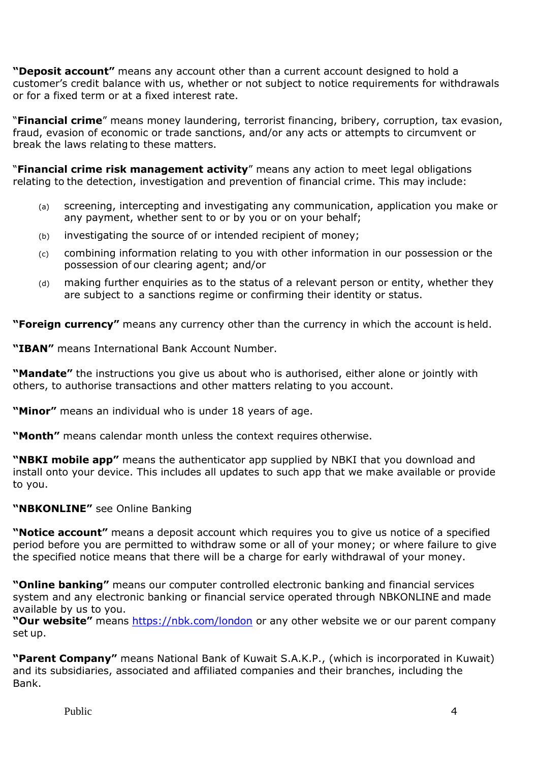**"Deposit account"** means any account other than a current account designed to hold a customer's credit balance with us, whether or not subject to notice requirements for withdrawals or for a fixed term or at a fixed interest rate.

"**Financial crime**" means money laundering, terrorist financing, bribery, corruption, tax evasion, fraud, evasion of economic or trade sanctions, and/or any acts or attempts to circumvent or break the laws relating to these matters.

"**Financial crime risk management activity**" means any action to meet legal obligations relating to the detection, investigation and prevention of financial crime. This may include:

- (a) screening, intercepting and investigating any communication, application you make or any payment, whether sent to or by you or on your behalf;
- (b) investigating the source of or intended recipient of money;
- (c) combining information relating to you with other information in our possession or the possession of our clearing agent; and/or
- (d) making further enquiries as to the status of a relevant person or entity, whether they are subject to a sanctions regime or confirming their identity or status.

**"Foreign currency"** means any currency other than the currency in which the account is held.

**"IBAN"** means International Bank Account Number.

**"Mandate"** the instructions you give us about who is authorised, either alone or jointly with others, to authorise transactions and other matters relating to you account.

**"Minor"** means an individual who is under 18 years of age.

**"Month"** means calendar month unless the context requires otherwise.

**"NBKI mobile app"** means the authenticator app supplied by NBKI that you download and install onto your device. This includes all updates to such app that we make available or provide to you.

# **"NBKONLINE"** see Online Banking

**"Notice account"** means a deposit account which requires you to give us notice of a specified period before you are permitted to withdraw some or all of your money; or where failure to give the specified notice means that there will be a charge for early withdrawal of your money.

**"Online banking"** means our computer controlled electronic banking and financial services system and any electronic banking or financial service operated through NBKONLINE and made available by us to you.

**"Our website"** means<https://nbk.com/london> or any other website we or our parent company set up.

**"Parent Company"** means National Bank of Kuwait S.A.K.P., (which is incorporated in Kuwait) and its subsidiaries, associated and affiliated companies and their branches, including the Bank.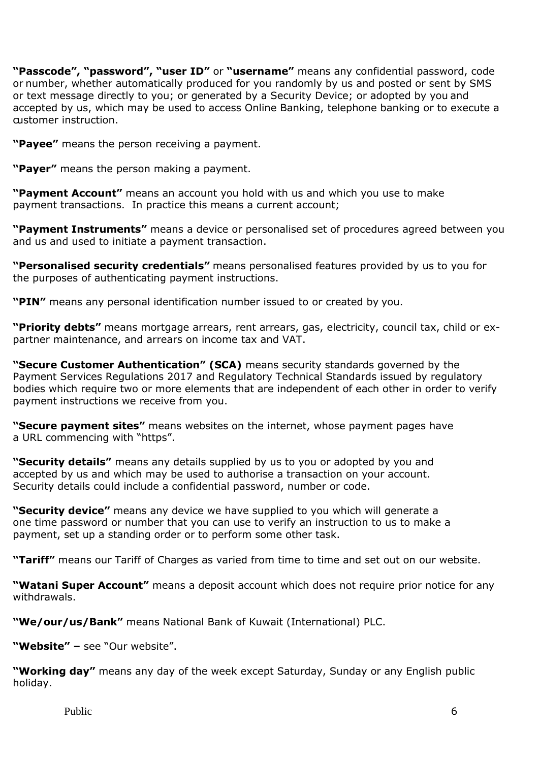**"Passcode", "password", "user ID"** or **"username"** means any confidential password, code or number, whether automatically produced for you randomly by us and posted or sent by SMS or text message directly to you; or generated by a Security Device; or adopted by you and accepted by us, which may be used to access Online Banking, telephone banking or to execute a customer instruction.

**"Payee"** means the person receiving a payment.

**"Payer"** means the person making a payment.

**"Payment Account"** means an account you hold with us and which you use to make payment transactions. In practice this means a current account;

**"Payment Instruments"** means a device or personalised set of procedures agreed between you and us and used to initiate a payment transaction.

**"Personalised security credentials"** means personalised features provided by us to you for the purposes of authenticating payment instructions.

**"PIN"** means any personal identification number issued to or created by you.

**"Priority debts"** means mortgage arrears, rent arrears, gas, electricity, council tax, child or expartner maintenance, and arrears on income tax and VAT.

**"Secure Customer Authentication" (SCA)** means security standards governed by the Payment Services Regulations 2017 and Regulatory Technical Standards issued by regulatory bodies which require two or more elements that are independent of each other in order to verify payment instructions we receive from you.

**"Secure payment sites"** means websites on the internet, whose payment pages have a URL commencing with "https".

**"Security details"** means any details supplied by us to you or adopted by you and accepted by us and which may be used to authorise a transaction on your account. Security details could include a confidential password, number or code.

**"Security device"** means any device we have supplied to you which will generate a one time password or number that you can use to verify an instruction to us to make a payment, set up a standing order or to perform some other task.

**"Tariff"** means our Tariff of Charges as varied from time to time and set out on our website.

**"Watani Super Account"** means a deposit account which does not require prior notice for any withdrawals.

**"We/our/us/Bank"** means National Bank of Kuwait (International) PLC.

**"Website" –** see "Our website".

**"Working day"** means any day of the week except Saturday, Sunday or any English public holiday.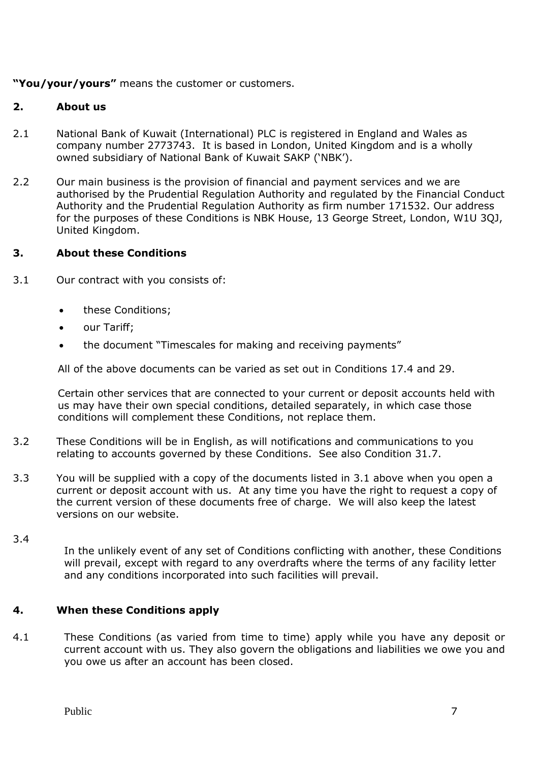**"You/your/yours"** means the customer or customers.

# <span id="page-6-0"></span>**2. About us**

- 2.1 National Bank of Kuwait (International) PLC is registered in England and Wales as company number 2773743. It is based in London, United Kingdom and is a wholly owned subsidiary of National Bank of Kuwait SAKP ('NBK').
- 2.2 Our main business is the provision of financial and payment services and we are authorised by the Prudential Regulation Authority and regulated by the Financial Conduct Authority and the Prudential Regulation Authority as firm number 171532. Our address for the purposes of these Conditions is NBK House, 13 George Street, London, W1U 3QJ, United Kingdom.

# <span id="page-6-1"></span>**3. About these Conditions**

- 3.1 Our contract with you consists of:
	- these Conditions;
	- our Tariff;
	- the document "Timescales for making and receiving payments"

All of the above documents can be varied as set out in Conditions 17.4 and 29.

Certain other services that are connected to your current or deposit accounts held with us may have their own special conditions, detailed separately, in which case those conditions will complement these Conditions, not replace them.

- 3.2 These Conditions will be in English, as will notifications and communications to you relating to accounts governed by these Conditions. See also Condition 31.7.
- 3.3 You will be supplied with a copy of the documents listed in 3.1 above when you open a current or deposit account with us. At any time you have the right to request a copy of the current version of these documents free of charge. We will also keep the latest versions on our website.
- 3.4

In the unlikely event of any set of Conditions conflicting with another, these Conditions will prevail, except with regard to any overdrafts where the terms of any facility letter and any conditions incorporated into such facilities will prevail.

# <span id="page-6-2"></span>**4. When these Conditions apply**

4.1 These Conditions (as varied from time to time) apply while you have any deposit or current account with us. They also govern the obligations and liabilities we owe you and you owe us after an account has been closed.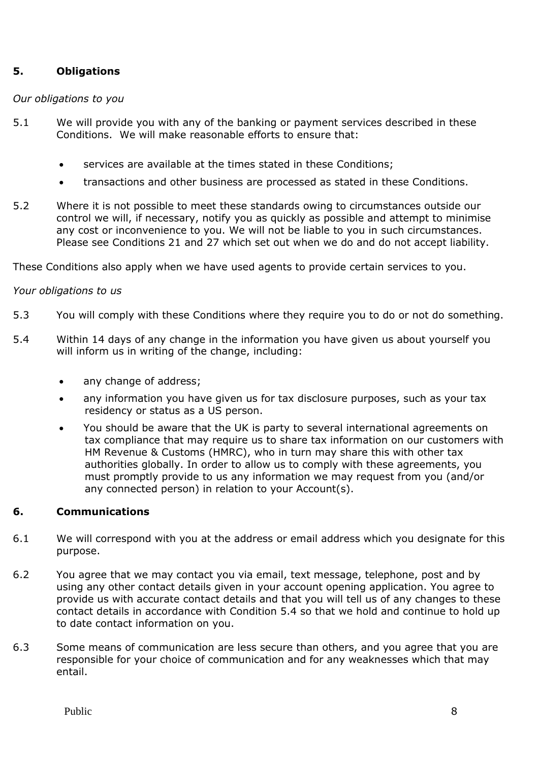# <span id="page-7-0"></span>**5. Obligations**

#### *Our obligations to you*

- 5.1 We will provide you with any of the banking or payment services described in these Conditions. We will make reasonable efforts to ensure that:
	- services are available at the times stated in these Conditions;
	- transactions and other business are processed as stated in these Conditions.
- 5.2 Where it is not possible to meet these standards owing to circumstances outside our control we will, if necessary, notify you as quickly as possible and attempt to minimise any cost or inconvenience to you. We will not be liable to you in such circumstances. Please see Conditions 21 and 27 which set out when we do and do not accept liability.

These Conditions also apply when we have used agents to provide certain services to you.

#### *Your obligations to us*

- 5.3 You will comply with these Conditions where they require you to do or not do something.
- 5.4 Within 14 days of any change in the information you have given us about yourself you will inform us in writing of the change, including:
	- any change of address;
	- any information you have given us for tax disclosure purposes, such as your tax residency or status as a US person.
	- You should be aware that the UK is party to several international agreements on tax compliance that may require us to share tax information on our customers with HM Revenue & Customs (HMRC), who in turn may share this with other tax authorities globally. In order to allow us to comply with these agreements, you must promptly provide to us any information we may request from you (and/or any connected person) in relation to your Account(s).

#### <span id="page-7-1"></span>**6. Communications**

- 6.1 We will correspond with you at the address or email address which you designate for this purpose.
- 6.2 You agree that we may contact you via email, text message, telephone, post and by using any other contact details given in your account opening application. You agree to provide us with accurate contact details and that you will tell us of any changes to these contact details in accordance with Condition 5.4 so that we hold and continue to hold up to date contact information on you.
- 6.3 Some means of communication are less secure than others, and you agree that you are responsible for your choice of communication and for any weaknesses which that may entail.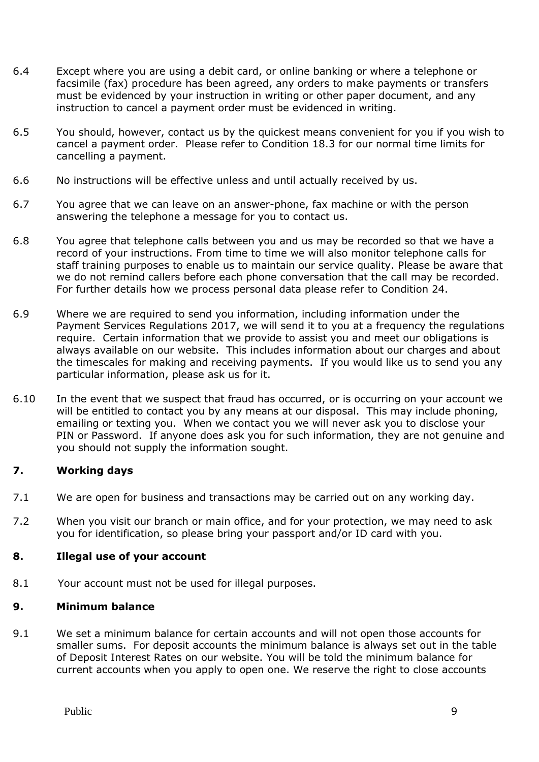- 6.4 Except where you are using a debit card, or online banking or where a telephone or facsimile (fax) procedure has been agreed, any orders to make payments or transfers must be evidenced by your instruction in writing or other paper document, and any instruction to cancel a payment order must be evidenced in writing.
- 6.5 You should, however, contact us by the quickest means convenient for you if you wish to cancel a payment order. Please refer to Condition 18.3 for our normal time limits for cancelling a payment.
- 6.6 No instructions will be effective unless and until actually received by us.
- 6.7 You agree that we can leave on an answer-phone, fax machine or with the person answering the telephone a message for you to contact us.
- 6.8 You agree that telephone calls between you and us may be recorded so that we have a record of your instructions. From time to time we will also monitor telephone calls for staff training purposes to enable us to maintain our service quality. Please be aware that we do not remind callers before each phone conversation that the call may be recorded. For further details how we process personal data please refer to Condition 24.
- 6.9 Where we are required to send you information, including information under the Payment Services Regulations 2017, we will send it to you at a frequency the regulations require. Certain information that we provide to assist you and meet our obligations is always available on our website. This includes information about our charges and about the timescales for making and receiving payments. If you would like us to send you any particular information, please ask us for it.
- 6.10 In the event that we suspect that fraud has occurred, or is occurring on your account we will be entitled to contact you by any means at our disposal. This may include phoning, emailing or texting you. When we contact you we will never ask you to disclose your PIN or Password. If anyone does ask you for such information, they are not genuine and you should not supply the information sought.

# <span id="page-8-0"></span>**7. Working days**

- 7.1 We are open for business and transactions may be carried out on any working day.
- 7.2 When you visit our branch or main office, and for your protection, we may need to ask you for identification, so please bring your passport and/or ID card with you.

# <span id="page-8-1"></span>**8. Illegal use of your account**

8.1 Your account must not be used for illegal purposes.

# <span id="page-8-2"></span>**9. Minimum balance**

9.1 We set a minimum balance for certain accounts and will not open those accounts for smaller sums. For deposit accounts the minimum balance is always set out in the table of Deposit Interest Rates on our website. You will be told the minimum balance for current accounts when you apply to open one. We reserve the right to close accounts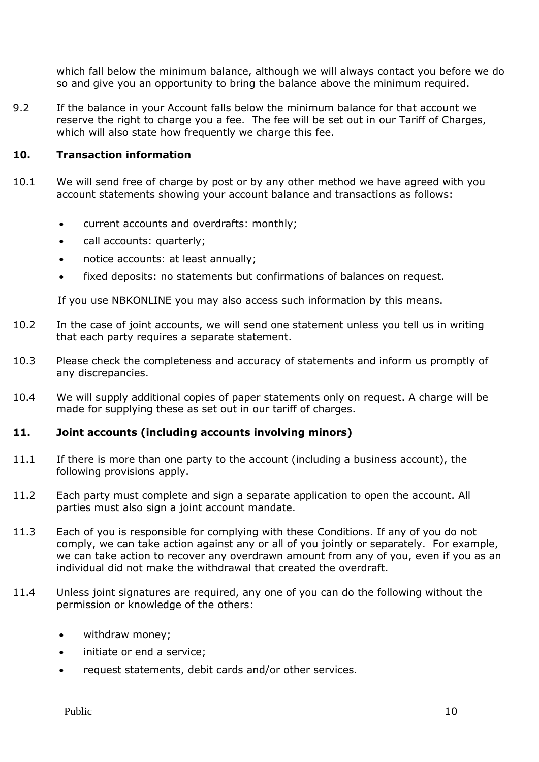which fall below the minimum balance, although we will always contact you before we do so and give you an opportunity to bring the balance above the minimum required.

9.2 If the balance in your Account falls below the minimum balance for that account we reserve the right to charge you a fee. The fee will be set out in our Tariff of Charges, which will also state how frequently we charge this fee.

#### <span id="page-9-0"></span>**10. Transaction information**

- 10.1 We will send free of charge by post or by any other method we have agreed with you account statements showing your account balance and transactions as follows:
	- current accounts and overdrafts: monthly;
	- call accounts: quarterly;
	- notice accounts: at least annually;
	- fixed deposits: no statements but confirmations of balances on request.

If you use NBKONLINE you may also access such information by this means.

- 10.2 In the case of joint accounts, we will send one statement unless you tell us in writing that each party requires a separate statement.
- 10.3 Please check the completeness and accuracy of statements and inform us promptly of any discrepancies.
- 10.4 We will supply additional copies of paper statements only on request. A charge will be made for supplying these as set out in our tariff of charges.

# <span id="page-9-1"></span>**11. Joint accounts (including accounts involving minors)**

- 11.1 If there is more than one party to the account (including a business account), the following provisions apply.
- 11.2 Each party must complete and sign a separate application to open the account. All parties must also sign a joint account mandate.
- 11.3 Each of you is responsible for complying with these Conditions. If any of you do not comply, we can take action against any or all of you jointly or separately. For example, we can take action to recover any overdrawn amount from any of you, even if you as an individual did not make the withdrawal that created the overdraft.
- 11.4 Unless joint signatures are required, any one of you can do the following without the permission or knowledge of the others:
	- withdraw money;
	- initiate or end a service:
	- request statements, debit cards and/or other services.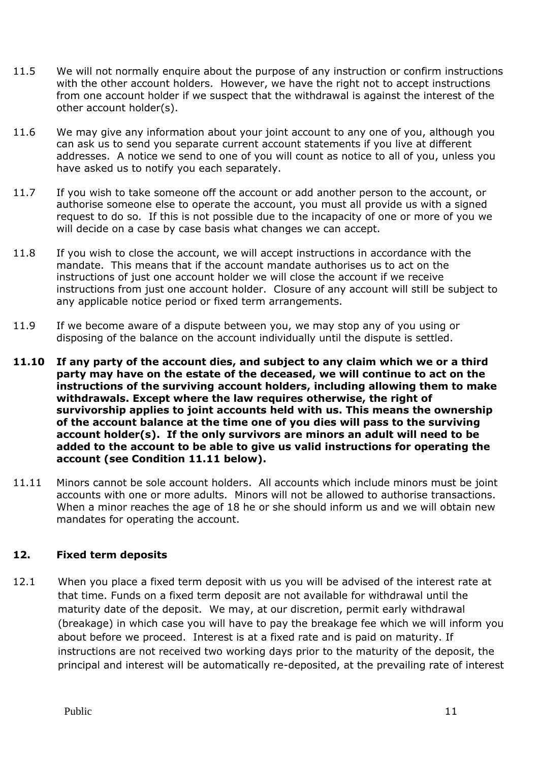- 11.5 We will not normally enquire about the purpose of any instruction or confirm instructions with the other account holders. However, we have the right not to accept instructions from one account holder if we suspect that the withdrawal is against the interest of the other account holder(s).
- 11.6 We may give any information about your joint account to any one of you, although you can ask us to send you separate current account statements if you live at different addresses. A notice we send to one of you will count as notice to all of you, unless you have asked us to notify you each separately.
- 11.7 If you wish to take someone off the account or add another person to the account, or authorise someone else to operate the account, you must all provide us with a signed request to do so. If this is not possible due to the incapacity of one or more of you we will decide on a case by case basis what changes we can accept.
- 11.8 If you wish to close the account, we will accept instructions in accordance with the mandate. This means that if the account mandate authorises us to act on the instructions of just one account holder we will close the account if we receive instructions from just one account holder. Closure of any account will still be subject to any applicable notice period or fixed term arrangements.
- 11.9 If we become aware of a dispute between you, we may stop any of you using or disposing of the balance on the account individually until the dispute is settled.
- **11.10 If any party of the account dies, and subject to any claim which we or a third party may have on the estate of the deceased, we will continue to act on the instructions of the surviving account holders, including allowing them to make withdrawals. Except where the law requires otherwise, the right of survivorship applies to joint accounts held with us. This means the ownership of the account balance at the time one of you dies will pass to the surviving account holder(s). If the only survivors are minors an adult will need to be added to the account to be able to give us valid instructions for operating the account (see Condition 11.11 below).**
- 11.11 Minors cannot be sole account holders. All accounts which include minors must be joint accounts with one or more adults. Minors will not be allowed to authorise transactions. When a minor reaches the age of 18 he or she should inform us and we will obtain new mandates for operating the account.

# <span id="page-10-0"></span>**12. Fixed term deposits**

12.1 When you place a fixed term deposit with us you will be advised of the interest rate at that time. Funds on a fixed term deposit are not available for withdrawal until the maturity date of the deposit. We may, at our discretion, permit early withdrawal (breakage) in which case you will have to pay the breakage fee which we will inform you about before we proceed. Interest is at a fixed rate and is paid on maturity. If instructions are not received two working days prior to the maturity of the deposit, the principal and interest will be automatically re-deposited, at the prevailing rate of interest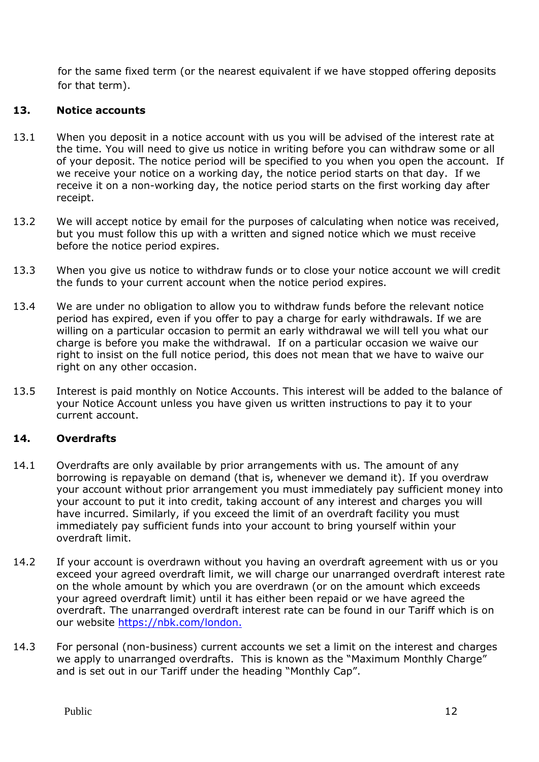<span id="page-11-0"></span>for the same fixed term (or the nearest equivalent if we have stopped offering deposits for that term).

# **13. Notice accounts**

- 13.1 When you deposit in a notice account with us you will be advised of the interest rate at the time. You will need to give us notice in writing before you can withdraw some or all of your deposit. The notice period will be specified to you when you open the account. If we receive your notice on a working day, the notice period starts on that day. If we receive it on a non-working day, the notice period starts on the first working day after receipt.
- 13.2 We will accept notice by email for the purposes of calculating when notice was received, but you must follow this up with a written and signed notice which we must receive before the notice period expires.
- 13.3 When you give us notice to withdraw funds or to close your notice account we will credit the funds to your current account when the notice period expires.
- 13.4 We are under no obligation to allow you to withdraw funds before the relevant notice period has expired, even if you offer to pay a charge for early withdrawals. If we are willing on a particular occasion to permit an early withdrawal we will tell you what our charge is before you make the withdrawal. If on a particular occasion we waive our right to insist on the full notice period, this does not mean that we have to waive our right on any other occasion.
- 13.5 Interest is paid monthly on Notice Accounts. This interest will be added to the balance of your Notice Account unless you have given us written instructions to pay it to your current account.

# <span id="page-11-1"></span>**14. Overdrafts**

- 14.1 Overdrafts are only available by prior arrangements with us. The amount of any borrowing is repayable on demand (that is, whenever we demand it). If you overdraw your account without prior arrangement you must immediately pay sufficient money into your account to put it into credit, taking account of any interest and charges you will have incurred. Similarly, if you exceed the limit of an overdraft facility you must immediately pay sufficient funds into your account to bring yourself within your overdraft limit.
- 14.2 If your account is overdrawn without you having an overdraft agreement with us or you exceed your agreed overdraft limit, we will charge our unarranged overdraft interest rate on the whole amount by which you are overdrawn (or on the amount which exceeds your agreed overdraft limit) until it has either been repaid or we have agreed the overdraft. The unarranged overdraft interest rate can be found in our Tariff which is on our website [https://nbk.com/london.](https://nbk.com/london)
- 14.3 For personal (non-business) current accounts we set a limit on the interest and charges we apply to unarranged overdrafts. This is known as the "Maximum Monthly Charge" and is set out in our Tariff under the heading "Monthly Cap".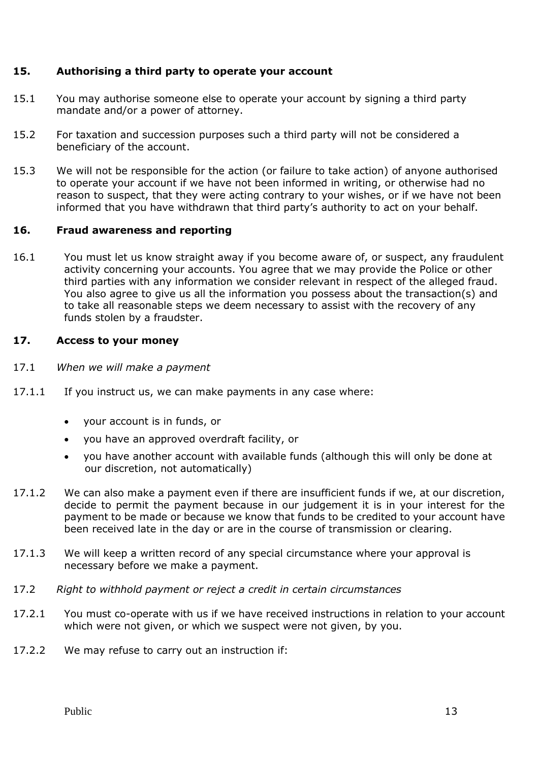# <span id="page-12-0"></span>**15. Authorising a third party to operate your account**

- 15.1 You may authorise someone else to operate your account by signing a third party mandate and/or a power of attorney.
- 15.2 For taxation and succession purposes such a third party will not be considered a beneficiary of the account.
- 15.3 We will not be responsible for the action (or failure to take action) of anyone authorised to operate your account if we have not been informed in writing, or otherwise had no reason to suspect, that they were acting contrary to your wishes, or if we have not been informed that you have withdrawn that third party's authority to act on your behalf.

# <span id="page-12-1"></span>**16. Fraud awareness and reporting**

16.1 You must let us know straight away if you become aware of, or suspect, any fraudulent activity concerning your accounts. You agree that we may provide the Police or other third parties with any information we consider relevant in respect of the alleged fraud. You also agree to give us all the information you possess about the transaction(s) and to take all reasonable steps we deem necessary to assist with the recovery of any funds stolen by a fraudster.

# <span id="page-12-2"></span>**17. Access to your money**

- 17.1 *When we will make a payment*
- 17.1.1 If you instruct us, we can make payments in any case where:
	- your account is in funds, or
	- you have an approved overdraft facility, or
	- you have another account with available funds (although this will only be done at our discretion, not automatically)
- 17.1.2 We can also make a payment even if there are insufficient funds if we, at our discretion, decide to permit the payment because in our judgement it is in your interest for the payment to be made or because we know that funds to be credited to your account have been received late in the day or are in the course of transmission or clearing.
- 17.1.3 We will keep a written record of any special circumstance where your approval is necessary before we make a payment.
- 17.2 *Right to withhold payment or reject a credit in certain circumstances*
- 17.2.1 You must co-operate with us if we have received instructions in relation to your account which were not given, or which we suspect were not given, by you.
- 17.2.2 We may refuse to carry out an instruction if: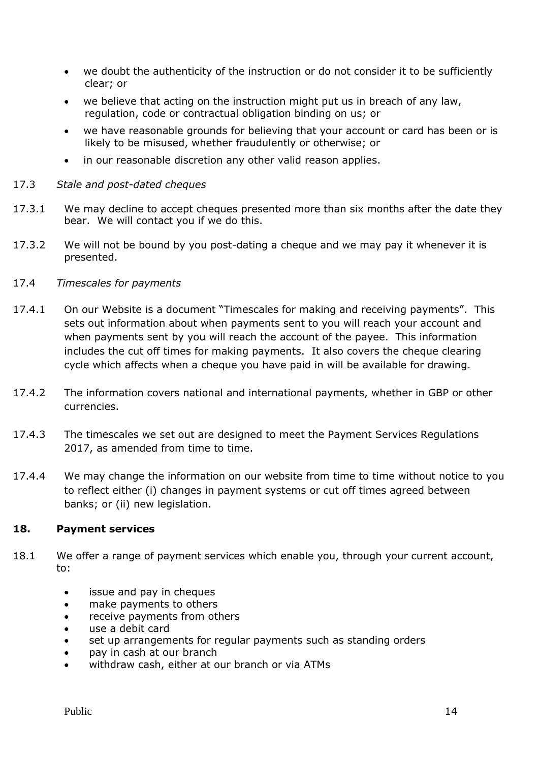- we doubt the authenticity of the instruction or do not consider it to be sufficiently clear; or
- we believe that acting on the instruction might put us in breach of any law, regulation, code or contractual obligation binding on us; or
- we have reasonable grounds for believing that your account or card has been or is likely to be misused, whether fraudulently or otherwise; or
- in our reasonable discretion any other valid reason applies.
- 17.3 *Stale and post-dated cheques*
- 17.3.1 We may decline to accept cheques presented more than six months after the date they bear. We will contact you if we do this.
- 17.3.2 We will not be bound by you post-dating a cheque and we may pay it whenever it is presented.
- 17.4 *Timescales for payments*
- 17.4.1 On our Website is a document "Timescales for making and receiving payments". This sets out information about when payments sent to you will reach your account and when payments sent by you will reach the account of the payee. This information includes the cut off times for making payments. It also covers the cheque clearing cycle which affects when a cheque you have paid in will be available for drawing.
- 17.4.2 The information covers national and international payments, whether in GBP or other currencies.
- 17.4.3 The timescales we set out are designed to meet the Payment Services Regulations 2017, as amended from time to time.
- 17.4.4 We may change the information on our website from time to time without notice to you to reflect either (i) changes in payment systems or cut off times agreed between banks; or (ii) new legislation.

# <span id="page-13-0"></span>**18. Payment services**

- 18.1 We offer a range of payment services which enable you, through your current account, to:
	- issue and pay in cheques
	- make payments to others
	- receive payments from others
	- use a debit card
	- set up arrangements for regular payments such as standing orders
	- pay in cash at our branch
	- withdraw cash, either at our branch or via ATMs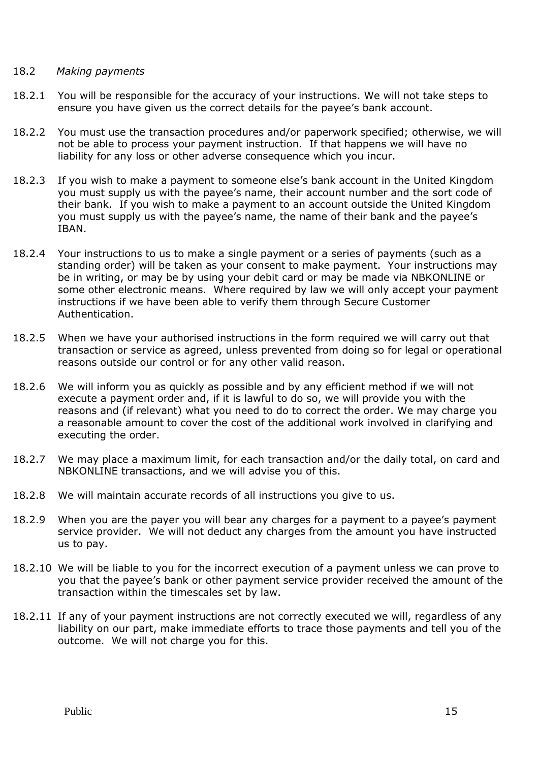#### 18.2 *Making payments*

- 18.2.1 You will be responsible for the accuracy of your instructions. We will not take steps to ensure you have given us the correct details for the payee's bank account.
- 18.2.2 You must use the transaction procedures and/or paperwork specified; otherwise, we will not be able to process your payment instruction. If that happens we will have no liability for any loss or other adverse consequence which you incur.
- 18.2.3 If you wish to make a payment to someone else's bank account in the United Kingdom you must supply us with the payee's name, their account number and the sort code of their bank. If you wish to make a payment to an account outside the United Kingdom you must supply us with the payee's name, the name of their bank and the payee's IBAN.
- 18.2.4 Your instructions to us to make a single payment or a series of payments (such as a standing order) will be taken as your consent to make payment. Your instructions may be in writing, or may be by using your debit card or may be made via NBKONLINE or some other electronic means. Where required by law we will only accept your payment instructions if we have been able to verify them through Secure Customer Authentication.
- 18.2.5 When we have your authorised instructions in the form required we will carry out that transaction or service as agreed, unless prevented from doing so for legal or operational reasons outside our control or for any other valid reason.
- 18.2.6 We will inform you as quickly as possible and by any efficient method if we will not execute a payment order and, if it is lawful to do so, we will provide you with the reasons and (if relevant) what you need to do to correct the order. We may charge you a reasonable amount to cover the cost of the additional work involved in clarifying and executing the order.
- 18.2.7 We may place a maximum limit, for each transaction and/or the daily total, on card and NBKONLINE transactions, and we will advise you of this.
- 18.2.8 We will maintain accurate records of all instructions you give to us.
- 18.2.9 When you are the payer you will bear any charges for a payment to a payee's payment service provider. We will not deduct any charges from the amount you have instructed us to pay.
- 18.2.10 We will be liable to you for the incorrect execution of a payment unless we can prove to you that the payee's bank or other payment service provider received the amount of the transaction within the timescales set by law.
- 18.2.11 If any of your payment instructions are not correctly executed we will, regardless of any liability on our part, make immediate efforts to trace those payments and tell you of the outcome. We will not charge you for this.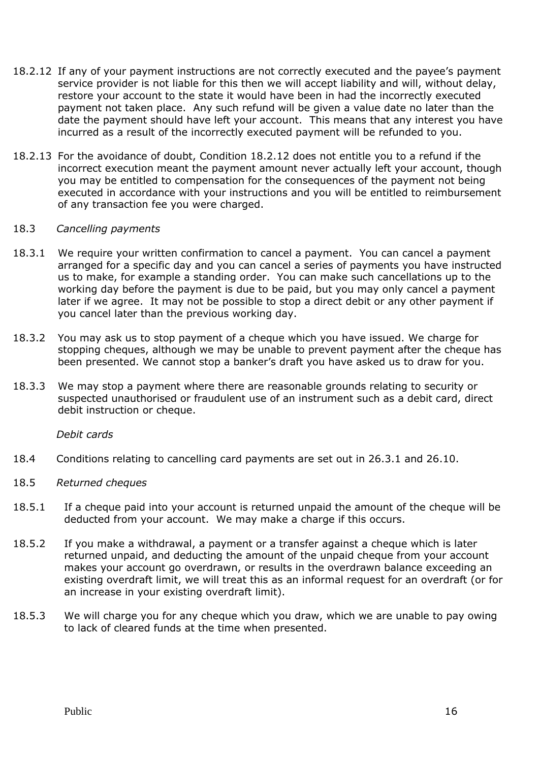- 18.2.12 If any of your payment instructions are not correctly executed and the payee's payment service provider is not liable for this then we will accept liability and will, without delay, restore your account to the state it would have been in had the incorrectly executed payment not taken place. Any such refund will be given a value date no later than the date the payment should have left your account. This means that any interest you have incurred as a result of the incorrectly executed payment will be refunded to you.
- 18.2.13 For the avoidance of doubt, Condition 18.2.12 does not entitle you to a refund if the incorrect execution meant the payment amount never actually left your account, though you may be entitled to compensation for the consequences of the payment not being executed in accordance with your instructions and you will be entitled to reimbursement of any transaction fee you were charged.

#### 18.3 *Cancelling payments*

- 18.3.1 We require your written confirmation to cancel a payment. You can cancel a payment arranged for a specific day and you can cancel a series of payments you have instructed us to make, for example a standing order. You can make such cancellations up to the working day before the payment is due to be paid, but you may only cancel a payment later if we agree. It may not be possible to stop a direct debit or any other payment if you cancel later than the previous working day.
- 18.3.2 You may ask us to stop payment of a cheque which you have issued. We charge for stopping cheques, although we may be unable to prevent payment after the cheque has been presented. We cannot stop a banker's draft you have asked us to draw for you.
- 18.3.3 We may stop a payment where there are reasonable grounds relating to security or suspected unauthorised or fraudulent use of an instrument such as a debit card, direct debit instruction or cheque.

*Debit cards*

- 18.4 Conditions relating to cancelling card payments are set out in 26.3.1 and 26.10.
- 18.5 *Returned cheques*
- 18.5.1 If a cheque paid into your account is returned unpaid the amount of the cheque will be deducted from your account. We may make a charge if this occurs.
- 18.5.2 If you make a withdrawal, a payment or a transfer against a cheque which is later returned unpaid, and deducting the amount of the unpaid cheque from your account makes your account go overdrawn, or results in the overdrawn balance exceeding an existing overdraft limit, we will treat this as an informal request for an overdraft (or for an increase in your existing overdraft limit).
- 18.5.3 We will charge you for any cheque which you draw, which we are unable to pay owing to lack of cleared funds at the time when presented.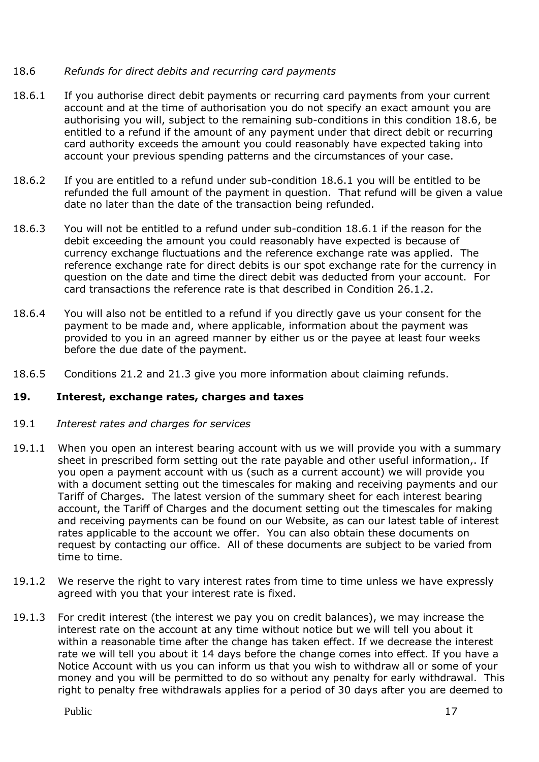# 18.6 *Refunds for direct debits and recurring card payments*

- 18.6.1 If you authorise direct debit payments or recurring card payments from your current account and at the time of authorisation you do not specify an exact amount you are authorising you will, subject to the remaining sub-conditions in this condition 18.6, be entitled to a refund if the amount of any payment under that direct debit or recurring card authority exceeds the amount you could reasonably have expected taking into account your previous spending patterns and the circumstances of your case.
- 18.6.2 If you are entitled to a refund under sub-condition 18.6.1 you will be entitled to be refunded the full amount of the payment in question. That refund will be given a value date no later than the date of the transaction being refunded.
- 18.6.3 You will not be entitled to a refund under sub-condition 18.6.1 if the reason for the debit exceeding the amount you could reasonably have expected is because of currency exchange fluctuations and the reference exchange rate was applied. The reference exchange rate for direct debits is our spot exchange rate for the currency in question on the date and time the direct debit was deducted from your account. For card transactions the reference rate is that described in Condition 26.1.2.
- 18.6.4 You will also not be entitled to a refund if you directly gave us your consent for the payment to be made and, where applicable, information about the payment was provided to you in an agreed manner by either us or the payee at least four weeks before the due date of the payment.
- <span id="page-16-0"></span>18.6.5 Conditions 21.2 and 21.3 give you more information about claiming refunds.

#### **19. Interest, exchange rates, charges and taxes**

#### 19.1 *Interest rates and charges for services*

- 19.1.1 When you open an interest bearing account with us we will provide you with a summary sheet in prescribed form setting out the rate payable and other useful information,. If you open a payment account with us (such as a current account) we will provide you with a document setting out the timescales for making and receiving payments and our Tariff of Charges. The latest version of the summary sheet for each interest bearing account, the Tariff of Charges and the document setting out the timescales for making and receiving payments can be found on our Website, as can our latest table of interest rates applicable to the account we offer. You can also obtain these documents on request by contacting our office. All of these documents are subject to be varied from time to time.
- 19.1.2 We reserve the right to vary interest rates from time to time unless we have expressly agreed with you that your interest rate is fixed.
- 19.1.3 For credit interest (the interest we pay you on credit balances), we may increase the interest rate on the account at any time without notice but we will tell you about it within a reasonable time after the change has taken effect. If we decrease the interest rate we will tell you about it 14 days before the change comes into effect. If you have a Notice Account with us you can inform us that you wish to withdraw all or some of your money and you will be permitted to do so without any penalty for early withdrawal. This right to penalty free withdrawals applies for a period of 30 days after you are deemed to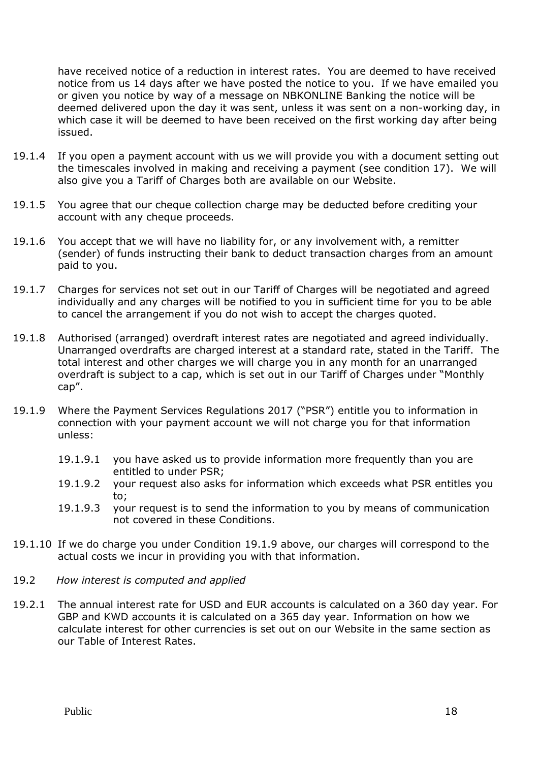have received notice of a reduction in interest rates. You are deemed to have received notice from us 14 days after we have posted the notice to you. If we have emailed you or given you notice by way of a message on NBKONLINE Banking the notice will be deemed delivered upon the day it was sent, unless it was sent on a non-working day, in which case it will be deemed to have been received on the first working day after being issued.

- 19.1.4 If you open a payment account with us we will provide you with a document setting out the timescales involved in making and receiving a payment (see condition 17). We will also give you a Tariff of Charges both are available on our Website.
- 19.1.5 You agree that our cheque collection charge may be deducted before crediting your account with any cheque proceeds.
- 19.1.6 You accept that we will have no liability for, or any involvement with, a remitter (sender) of funds instructing their bank to deduct transaction charges from an amount paid to you.
- 19.1.7 Charges for services not set out in our Tariff of Charges will be negotiated and agreed individually and any charges will be notified to you in sufficient time for you to be able to cancel the arrangement if you do not wish to accept the charges quoted.
- 19.1.8 Authorised (arranged) overdraft interest rates are negotiated and agreed individually. Unarranged overdrafts are charged interest at a standard rate, stated in the Tariff. The total interest and other charges we will charge you in any month for an unarranged overdraft is subject to a cap, which is set out in our Tariff of Charges under "Monthly cap".
- 19.1.9 Where the Payment Services Regulations 2017 ("PSR") entitle you to information in connection with your payment account we will not charge you for that information unless:
	- 19.1.9.1 you have asked us to provide information more frequently than you are entitled to under PSR;
	- 19.1.9.2 your request also asks for information which exceeds what PSR entitles you to;
	- 19.1.9.3 your request is to send the information to you by means of communication not covered in these Conditions.
- 19.1.10 If we do charge you under Condition 19.1.9 above, our charges will correspond to the actual costs we incur in providing you with that information.
- 19.2 *How interest is computed and applied*
- 19.2.1 The annual interest rate for USD and EUR accounts is calculated on a 360 day year. For GBP and KWD accounts it is calculated on a 365 day year. Information on how we calculate interest for other currencies is set out on our Website in the same section as our Table of Interest Rates.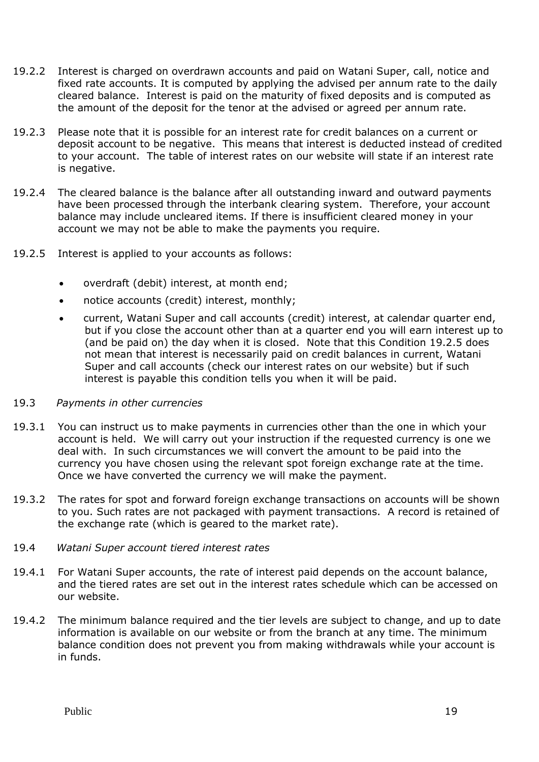- 19.2.2 Interest is charged on overdrawn accounts and paid on Watani Super, call, notice and fixed rate accounts. It is computed by applying the advised per annum rate to the daily cleared balance. Interest is paid on the maturity of fixed deposits and is computed as the amount of the deposit for the tenor at the advised or agreed per annum rate.
- 19.2.3 Please note that it is possible for an interest rate for credit balances on a current or deposit account to be negative. This means that interest is deducted instead of credited to your account. The table of interest rates on our website will state if an interest rate is negative.
- 19.2.4 The cleared balance is the balance after all outstanding inward and outward payments have been processed through the interbank clearing system. Therefore, your account balance may include uncleared items. If there is insufficient cleared money in your account we may not be able to make the payments you require.
- 19.2.5 Interest is applied to your accounts as follows:
	- overdraft (debit) interest, at month end;
	- notice accounts (credit) interest, monthly;
	- current, Watani Super and call accounts (credit) interest, at calendar quarter end, but if you close the account other than at a quarter end you will earn interest up to (and be paid on) the day when it is closed. Note that this Condition 19.2.5 does not mean that interest is necessarily paid on credit balances in current, Watani Super and call accounts (check our interest rates on our website) but if such interest is payable this condition tells you when it will be paid.
- 19.3 *Payments in other currencies*
- 19.3.1 You can instruct us to make payments in currencies other than the one in which your account is held. We will carry out your instruction if the requested currency is one we deal with. In such circumstances we will convert the amount to be paid into the currency you have chosen using the relevant spot foreign exchange rate at the time. Once we have converted the currency we will make the payment.
- 19.3.2 The rates for spot and forward foreign exchange transactions on accounts will be shown to you. Such rates are not packaged with payment transactions. A record is retained of the exchange rate (which is geared to the market rate).
- 19.4 *Watani Super account tiered interest rates*
- 19.4.1 For Watani Super accounts, the rate of interest paid depends on the account balance, and the tiered rates are set out in the interest rates schedule which can be accessed on our website.
- 19.4.2 The minimum balance required and the tier levels are subject to change, and up to date information is available on our website or from the branch at any time. The minimum balance condition does not prevent you from making withdrawals while your account is in funds.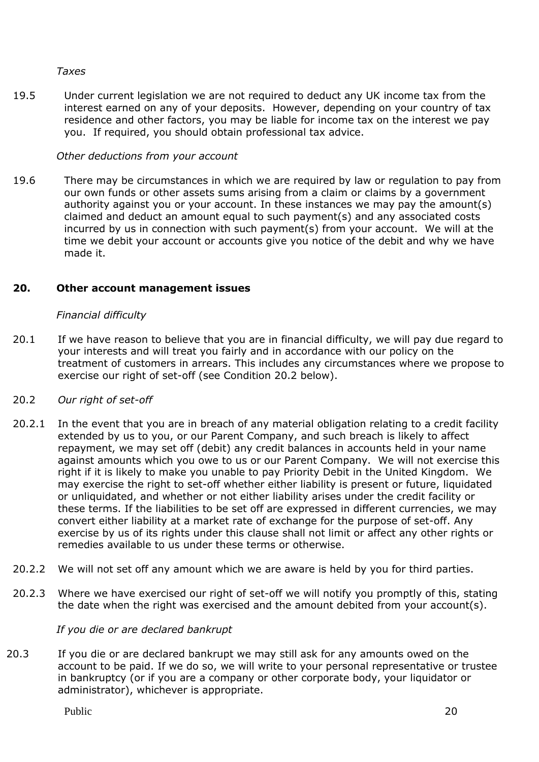# *Taxes*

19.5 Under current legislation we are not required to deduct any UK income tax from the interest earned on any of your deposits. However, depending on your country of tax residence and other factors, you may be liable for income tax on the interest we pay you. If required, you should obtain professional tax advice.

# *Other deductions from your account*

19.6 There may be circumstances in which we are required by law or regulation to pay from our own funds or other assets sums arising from a claim or claims by a government authority against you or your account. In these instances we may pay the amount(s) claimed and deduct an amount equal to such payment(s) and any associated costs incurred by us in connection with such payment(s) from your account. We will at the time we debit your account or accounts give you notice of the debit and why we have made it.

# **20. Other account management issues**

# <span id="page-19-0"></span>*Financial difficulty*

20.1 If we have reason to believe that you are in financial difficulty, we will pay due regard to your interests and will treat you fairly and in accordance with our policy on the treatment of customers in arrears. This includes any circumstances where we propose to exercise our right of set-off (see Condition 20.2 below).

# 20.2 *Our right of set-off*

- 20.2.1 In the event that you are in breach of any material obligation relating to a credit facility extended by us to you, or our Parent Company, and such breach is likely to affect repayment, we may set off (debit) any credit balances in accounts held in your name against amounts which you owe to us or our Parent Company. We will not exercise this right if it is likely to make you unable to pay Priority Debit in the United Kingdom. We may exercise the right to set-off whether either liability is present or future, liquidated or unliquidated, and whether or not either liability arises under the credit facility or these terms. If the liabilities to be set off are expressed in different currencies, we may convert either liability at a market rate of exchange for the purpose of set-off. Any exercise by us of its rights under this clause shall not limit or affect any other rights or remedies available to us under these terms or otherwise.
- 20.2.2 We will not set off any amount which we are aware is held by you for third parties.
- 20.2.3 Where we have exercised our right of set-off we will notify you promptly of this, stating the date when the right was exercised and the amount debited from your account(s).

# *If you die or are declared bankrupt*

20.3 If you die or are declared bankrupt we may still ask for any amounts owed on the account to be paid. If we do so, we will write to your personal representative or trustee in bankruptcy (or if you are a company or other corporate body, your liquidator or administrator), whichever is appropriate.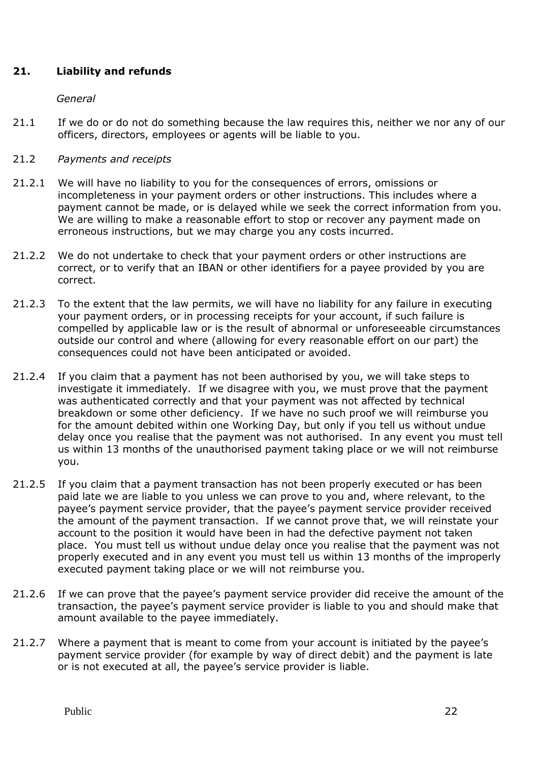# **21. Liability and refunds**

# <span id="page-21-0"></span>*General*

21.1 If we do or do not do something because the law requires this, neither we nor any of our officers, directors, employees or agents will be liable to you.

#### 21.2 *Payments and receipts*

- 21.2.1 We will have no liability to you for the consequences of errors, omissions or incompleteness in your payment orders or other instructions. This includes where a payment cannot be made, or is delayed while we seek the correct information from you. We are willing to make a reasonable effort to stop or recover any payment made on erroneous instructions, but we may charge you any costs incurred.
- 21.2.2 We do not undertake to check that your payment orders or other instructions are correct, or to verify that an IBAN or other identifiers for a payee provided by you are correct.
- 21.2.3 To the extent that the law permits, we will have no liability for any failure in executing your payment orders, or in processing receipts for your account, if such failure is compelled by applicable law or is the result of abnormal or unforeseeable circumstances outside our control and where (allowing for every reasonable effort on our part) the consequences could not have been anticipated or avoided.
- 21.2.4 If you claim that a payment has not been authorised by you, we will take steps to investigate it immediately. If we disagree with you, we must prove that the payment was authenticated correctly and that your payment was not affected by technical breakdown or some other deficiency. If we have no such proof we will reimburse you for the amount debited within one Working Day, but only if you tell us without undue delay once you realise that the payment was not authorised. In any event you must tell us within 13 months of the unauthorised payment taking place or we will not reimburse you.
- 21.2.5 If you claim that a payment transaction has not been properly executed or has been paid late we are liable to you unless we can prove to you and, where relevant, to the payee's payment service provider, that the payee's payment service provider received the amount of the payment transaction. If we cannot prove that, we will reinstate your account to the position it would have been in had the defective payment not taken place. You must tell us without undue delay once you realise that the payment was not properly executed and in any event you must tell us within 13 months of the improperly executed payment taking place or we will not reimburse you.
- 21.2.6 If we can prove that the payee's payment service provider did receive the amount of the transaction, the payee's payment service provider is liable to you and should make that amount available to the payee immediately.
- 21.2.7 Where a payment that is meant to come from your account is initiated by the payee's payment service provider (for example by way of direct debit) and the payment is late or is not executed at all, the payee's service provider is liable.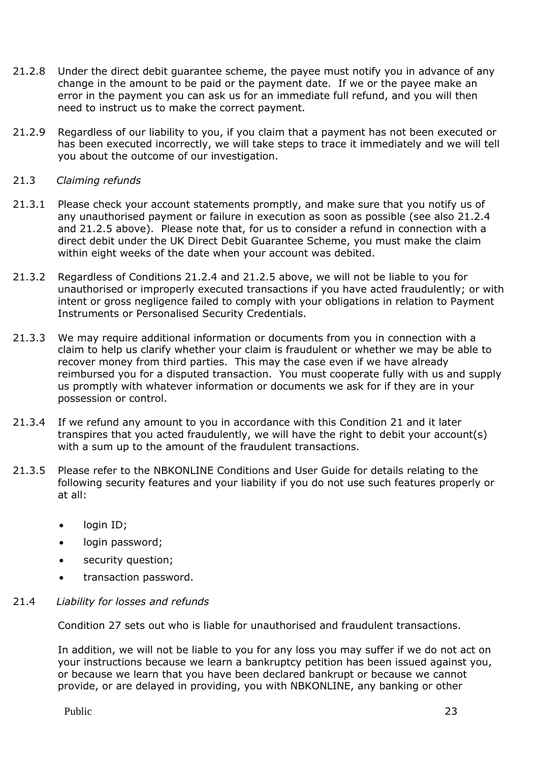- 21.2.8 Under the direct debit guarantee scheme, the payee must notify you in advance of any change in the amount to be paid or the payment date. If we or the payee make an error in the payment you can ask us for an immediate full refund, and you will then need to instruct us to make the correct payment.
- 21.2.9 Regardless of our liability to you, if you claim that a payment has not been executed or has been executed incorrectly, we will take steps to trace it immediately and we will tell you about the outcome of our investigation.
- 21.3 *Claiming refunds*
- 21.3.1 Please check your account statements promptly, and make sure that you notify us of any unauthorised payment or failure in execution as soon as possible (see also 21.2.4 and 21.2.5 above). Please note that, for us to consider a refund in connection with a direct debit under the UK Direct Debit Guarantee Scheme, you must make the claim within eight weeks of the date when your account was debited.
- 21.3.2 Regardless of Conditions 21.2.4 and 21.2.5 above, we will not be liable to you for unauthorised or improperly executed transactions if you have acted fraudulently; or with intent or gross negligence failed to comply with your obligations in relation to Payment Instruments or Personalised Security Credentials.
- 21.3.3 We may require additional information or documents from you in connection with a claim to help us clarify whether your claim is fraudulent or whether we may be able to recover money from third parties. This may the case even if we have already reimbursed you for a disputed transaction. You must cooperate fully with us and supply us promptly with whatever information or documents we ask for if they are in your possession or control.
- 21.3.4 If we refund any amount to you in accordance with this Condition 21 and it later transpires that you acted fraudulently, we will have the right to debit your account(s) with a sum up to the amount of the fraudulent transactions.
- 21.3.5 Please refer to the NBKONLINE Conditions and User Guide for details relating to the following security features and your liability if you do not use such features properly or at all:
	- login ID;
	- login password;
	- security question;
	- transaction password.
- 21.4 *Liability for losses and refunds*

Condition 27 sets out who is liable for unauthorised and fraudulent transactions.

In addition, we will not be liable to you for any loss you may suffer if we do not act on your instructions because we learn a bankruptcy petition has been issued against you, or because we learn that you have been declared bankrupt or because we cannot provide, or are delayed in providing, you with NBKONLINE, any banking or other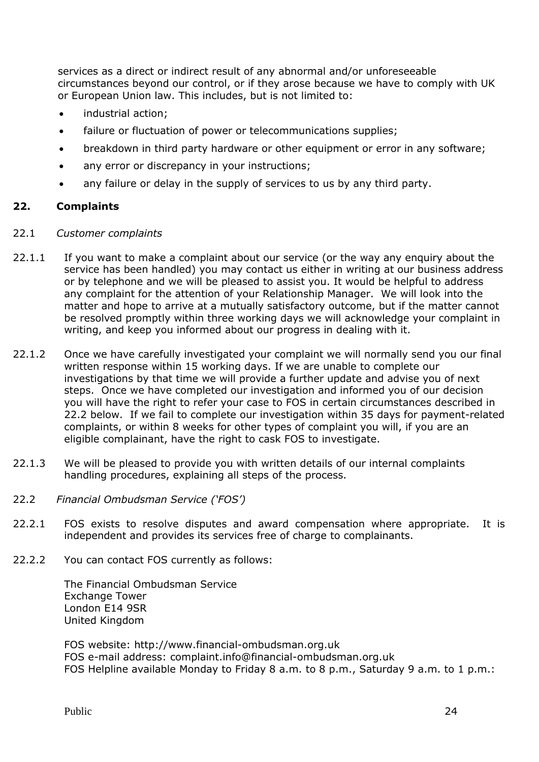services as a direct or indirect result of any abnormal and/or unforeseeable circumstances beyond our control, or if they arose because we have to comply with UK or European Union law. This includes, but is not limited to:

- industrial action;
- failure or fluctuation of power or telecommunications supplies;
- breakdown in third party hardware or other equipment or error in any software;
- any error or discrepancy in your instructions;
- <span id="page-23-0"></span>any failure or delay in the supply of services to us by any third party.

# **22. Complaints**

#### 22.1 *Customer complaints*

- 22.1.1 If you want to make a complaint about our service (or the way any enquiry about the service has been handled) you may contact us either in writing at our business address or by telephone and we will be pleased to assist you. It would be helpful to address any complaint for the attention of your Relationship Manager. We will look into the matter and hope to arrive at a mutually satisfactory outcome, but if the matter cannot be resolved promptly within three working days we will acknowledge your complaint in writing, and keep you informed about our progress in dealing with it.
- 22.1.2 Once we have carefully investigated your complaint we will normally send you our final written response within 15 working days. If we are unable to complete our investigations by that time we will provide a further update and advise you of next steps. Once we have completed our investigation and informed you of our decision you will have the right to refer your case to FOS in certain circumstances described in 22.2 below. If we fail to complete our investigation within 35 days for payment-related complaints, or within 8 weeks for other types of complaint you will, if you are an eligible complainant, have the right to cask FOS to investigate.
- 22.1.3 We will be pleased to provide you with written details of our internal complaints handling procedures, explaining all steps of the process.
- 22.2 *Financial Ombudsman Service ('FOS')*
- 22.2.1 FOS exists to resolve disputes and award compensation where appropriate. It is independent and provides its services free of charge to complainants.
- 22.2.2 You can contact FOS currently as follows:

The Financial Ombudsman Service Exchange Tower London E14 9SR United Kingdom

FOS website: http:/[/www.financial-ombudsman.org.uk](http://www.financial-ombudsman.org.uk/) FOS e-mail address: [complaint.info@financial-ombudsman.org.uk](mailto:complaint.info@financial-ombudsman.org.uk) FOS Helpline available Monday to Friday 8 a.m. to 8 p.m., Saturday 9 a.m. to 1 p.m.: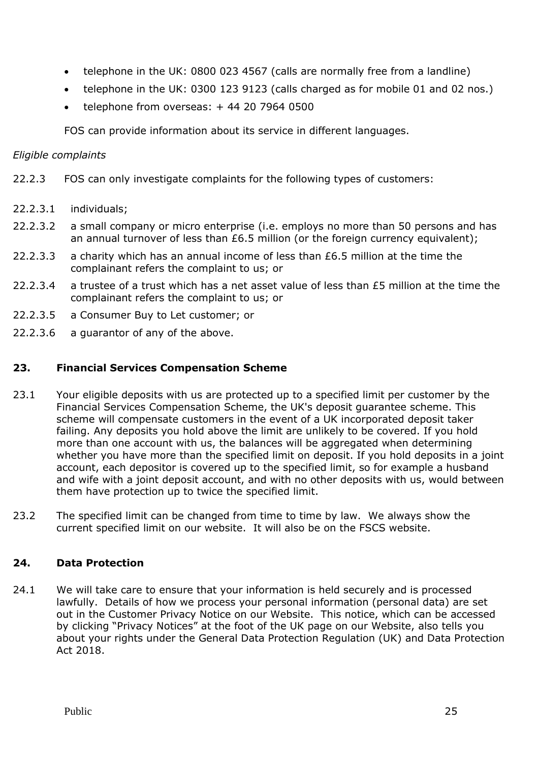- telephone in the UK: 0800 023 4567 (calls are normally free from a landline)
- telephone in the UK: 0300 123 9123 (calls charged as for mobile 01 and 02 nos.)
- telephone from overseas: + 44 20 7964 0500

FOS can provide information about its service in different languages.

# *Eligible complaints*

- 22.2.3 FOS can only investigate complaints for the following types of customers:
- 22.2.3.1 individuals;
- 22.2.3.2 a small company or micro enterprise (i.e. employs no more than 50 persons and has an annual turnover of less than £6.5 million (or the foreign currency equivalent);
- 22.2.3.3 a charity which has an annual income of less than £6.5 million at the time the complainant refers the complaint to us; or
- 22.2.3.4 a trustee of a trust which has a net asset value of less than £5 million at the time the complainant refers the complaint to us; or
- 22.2.3.5 a Consumer Buy to Let customer; or
- 22.2.3.6 a guarantor of any of the above.

# <span id="page-24-0"></span>**23. Financial Services Compensation Scheme**

- 23.1 Your eligible deposits with us are protected up to a specified limit per customer by the Financial Services Compensation Scheme, the UK's deposit guarantee scheme. This scheme will compensate customers in the event of a UK incorporated deposit taker failing. Any deposits you hold above the limit are unlikely to be covered. If you hold more than one account with us, the balances will be aggregated when determining whether you have more than the specified limit on deposit. If you hold deposits in a joint account, each depositor is covered up to the specified limit, so for example a husband and wife with a joint deposit account, and with no other deposits with us, would between them have protection up to twice the specified limit.
- 23.2 The specified limit can be changed from time to time by law. We always show the current specified limit on our website. It will also be on the FSCS website.

# <span id="page-24-1"></span>**24. Data Protection**

24.1 We will take care to ensure that your information is held securely and is processed lawfully. Details of how we process your personal information (personal data) are set out in the Customer Privacy Notice on our Website. This notice, which can be accessed by clicking "Privacy Notices" at the foot of the UK page on our Website, also tells you about your rights under the General Data Protection Regulation (UK) and Data Protection Act 2018.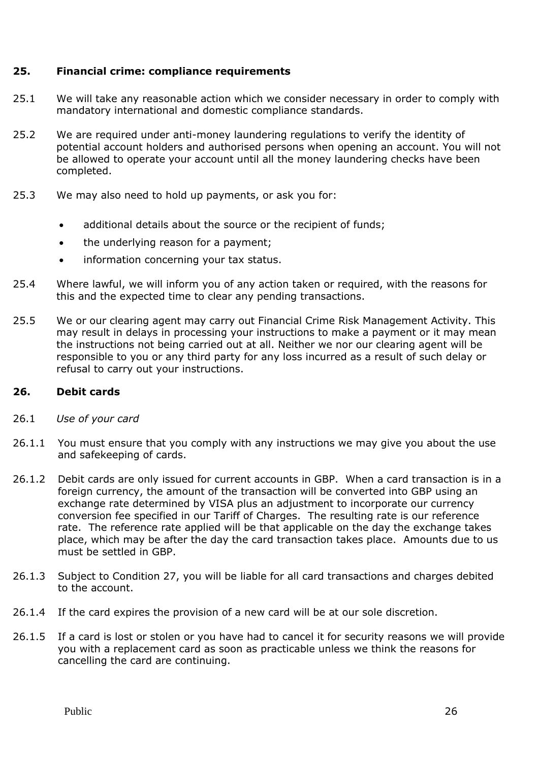# <span id="page-25-0"></span>**25. Financial crime: compliance requirements**

- 25.1 We will take any reasonable action which we consider necessary in order to comply with mandatory international and domestic compliance standards.
- 25.2 We are required under anti-money laundering regulations to verify the identity of potential account holders and authorised persons when opening an account. You will not be allowed to operate your account until all the money laundering checks have been completed.
- 25.3 We may also need to hold up payments, or ask you for:
	- additional details about the source or the recipient of funds;
	- the underlying reason for a payment;
	- information concerning your tax status.
- 25.4 Where lawful, we will inform you of any action taken or required, with the reasons for this and the expected time to clear any pending transactions.
- 25.5 We or our clearing agent may carry out Financial Crime Risk Management Activity. This may result in delays in processing your instructions to make a payment or it may mean the instructions not being carried out at all. Neither we nor our clearing agent will be responsible to you or any third party for any loss incurred as a result of such delay or refusal to carry out your instructions.

# <span id="page-25-1"></span>**26. Debit cards**

- 26.1 *Use of your card*
- 26.1.1 You must ensure that you comply with any instructions we may give you about the use and safekeeping of cards.
- 26.1.2 Debit cards are only issued for current accounts in GBP. When a card transaction is in a foreign currency, the amount of the transaction will be converted into GBP using an exchange rate determined by VISA plus an adjustment to incorporate our currency conversion fee specified in our Tariff of Charges. The resulting rate is our reference rate. The reference rate applied will be that applicable on the day the exchange takes place, which may be after the day the card transaction takes place. Amounts due to us must be settled in GBP.
- 26.1.3 Subject to Condition 27, you will be liable for all card transactions and charges debited to the account.
- 26.1.4 If the card expires the provision of a new card will be at our sole discretion.
- 26.1.5 If a card is lost or stolen or you have had to cancel it for security reasons we will provide you with a replacement card as soon as practicable unless we think the reasons for cancelling the card are continuing.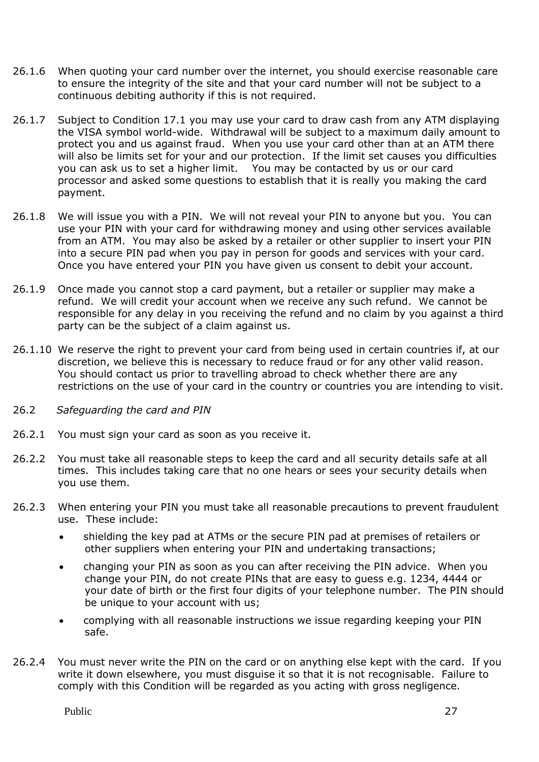- 26.1.6 When quoting your card number over the internet, you should exercise reasonable care to ensure the integrity of the site and that your card number will not be subject to a continuous debiting authority if this is not required.
- 26.1.7 Subject to Condition 17.1 you may use your card to draw cash from any ATM displaying the VISA symbol world-wide. Withdrawal will be subject to a maximum daily amount to protect you and us against fraud. When you use your card other than at an ATM there will also be limits set for your and our protection. If the limit set causes you difficulties you can ask us to set a higher limit. You may be contacted by us or our card processor and asked some questions to establish that it is really you making the card payment.
- 26.1.8 We will issue you with a PIN. We will not reveal your PIN to anyone but you. You can use your PIN with your card for withdrawing money and using other services available from an ATM. You may also be asked by a retailer or other supplier to insert your PIN into a secure PIN pad when you pay in person for goods and services with your card. Once you have entered your PIN you have given us consent to debit your account.
- 26.1.9 Once made you cannot stop a card payment, but a retailer or supplier may make a refund. We will credit your account when we receive any such refund. We cannot be responsible for any delay in you receiving the refund and no claim by you against a third party can be the subject of a claim against us.
- 26.1.10 We reserve the right to prevent your card from being used in certain countries if, at our discretion, we believe this is necessary to reduce fraud or for any other valid reason. You should contact us prior to travelling abroad to check whether there are any restrictions on the use of your card in the country or countries you are intending to visit.
- 26.2 *Safeguarding the card and PIN*
- 26.2.1 You must sign your card as soon as you receive it.
- 26.2.2 You must take all reasonable steps to keep the card and all security details safe at all times. This includes taking care that no one hears or sees your security details when you use them.
- 26.2.3 When entering your PIN you must take all reasonable precautions to prevent fraudulent use. These include:
	- shielding the key pad at ATMs or the secure PIN pad at premises of retailers or other suppliers when entering your PIN and undertaking transactions;
	- changing your PIN as soon as you can after receiving the PIN advice. When you change your PIN, do not create PINs that are easy to guess e.g. 1234, 4444 or your date of birth or the first four digits of your telephone number. The PIN should be unique to your account with us;
	- complying with all reasonable instructions we issue regarding keeping your PIN safe.
- 26.2.4 You must never write the PIN on the card or on anything else kept with the card. If you write it down elsewhere, you must disguise it so that it is not recognisable. Failure to comply with this Condition will be regarded as you acting with gross negligence.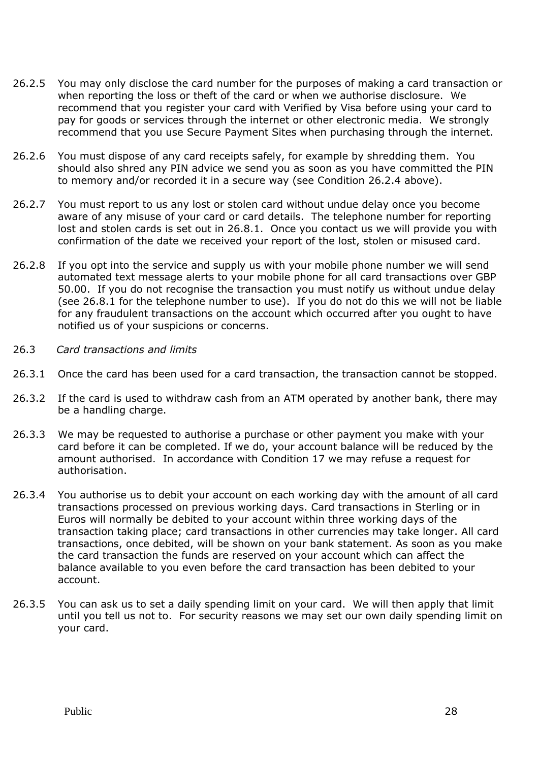- 26.2.5 You may only disclose the card number for the purposes of making a card transaction or when reporting the loss or theft of the card or when we authorise disclosure. We recommend that you register your card with Verified by Visa before using your card to pay for goods or services through the internet or other electronic media. We strongly recommend that you use Secure Payment Sites when purchasing through the internet.
- 26.2.6 You must dispose of any card receipts safely, for example by shredding them. You should also shred any PIN advice we send you as soon as you have committed the PIN to memory and/or recorded it in a secure way (see Condition 26.2.4 above).
- 26.2.7 You must report to us any lost or stolen card without undue delay once you become aware of any misuse of your card or card details. The telephone number for reporting lost and stolen cards is set out in 26.8.1. Once you contact us we will provide you with confirmation of the date we received your report of the lost, stolen or misused card.
- 26.2.8 If you opt into the service and supply us with your mobile phone number we will send automated text message alerts to your mobile phone for all card transactions over GBP 50.00. If you do not recognise the transaction you must notify us without undue delay (see 26.8.1 for the telephone number to use). If you do not do this we will not be liable for any fraudulent transactions on the account which occurred after you ought to have notified us of your suspicions or concerns.
- 26.3 *Card transactions and limits*
- 26.3.1 Once the card has been used for a card transaction, the transaction cannot be stopped.
- 26.3.2 If the card is used to withdraw cash from an ATM operated by another bank, there may be a handling charge.
- 26.3.3 We may be requested to authorise a purchase or other payment you make with your card before it can be completed. If we do, your account balance will be reduced by the amount authorised. In accordance with Condition 17 we may refuse a request for authorisation.
- 26.3.4 You authorise us to debit your account on each working day with the amount of all card transactions processed on previous working days. Card transactions in Sterling or in Euros will normally be debited to your account within three working days of the transaction taking place; card transactions in other currencies may take longer. All card transactions, once debited, will be shown on your bank statement. As soon as you make the card transaction the funds are reserved on your account which can affect the balance available to you even before the card transaction has been debited to your account.
- 26.3.5 You can ask us to set a daily spending limit on your card. We will then apply that limit until you tell us not to. For security reasons we may set our own daily spending limit on your card.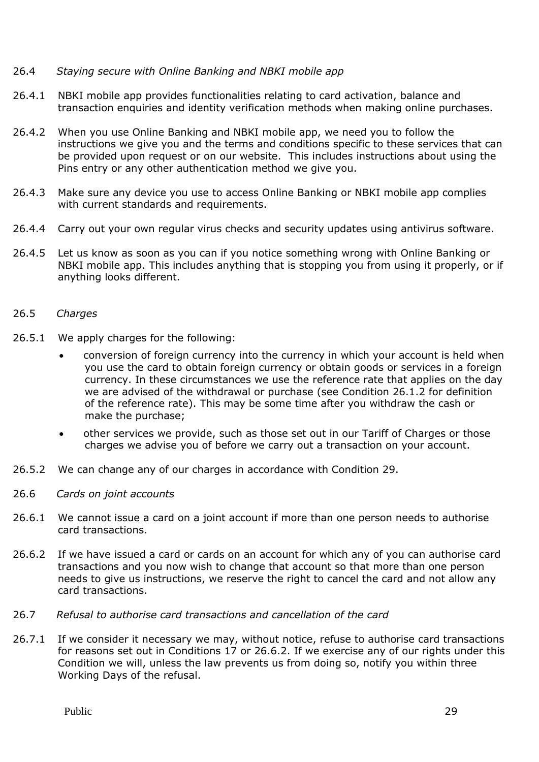#### 26.4 *Staying secure with Online Banking and NBKI mobile app*

- 26.4.1 NBKI mobile app provides functionalities relating to card activation, balance and transaction enquiries and identity verification methods when making online purchases.
- 26.4.2 When you use Online Banking and NBKI mobile app, we need you to follow the instructions we give you and the terms and conditions specific to these services that can be provided upon request or on our website. This includes instructions about using the Pins entry or any other authentication method we give you.
- 26.4.3 Make sure any device you use to access Online Banking or NBKI mobile app complies with current standards and requirements.
- 26.4.4 Carry out your own regular virus checks and security updates using antivirus software.
- 26.4.5 Let us know as soon as you can if you notice something wrong with Online Banking or NBKI mobile app. This includes anything that is stopping you from using it properly, or if anything looks different.

#### 26.5 *Charges*

- 26.5.1 We apply charges for the following:
	- conversion of foreign currency into the currency in which your account is held when you use the card to obtain foreign currency or obtain goods or services in a foreign currency. In these circumstances we use the reference rate that applies on the day we are advised of the withdrawal or purchase (see Condition 26.1.2 for definition of the reference rate). This may be some time after you withdraw the cash or make the purchase;
	- other services we provide, such as those set out in our Tariff of Charges or those charges we advise you of before we carry out a transaction on your account.
- 26.5.2 We can change any of our charges in accordance with Condition 29.
- 26.6 *Cards on joint accounts*
- 26.6.1 We cannot issue a card on a joint account if more than one person needs to authorise card transactions.
- 26.6.2 If we have issued a card or cards on an account for which any of you can authorise card transactions and you now wish to change that account so that more than one person needs to give us instructions, we reserve the right to cancel the card and not allow any card transactions.
- 26.7 *Refusal to authorise card transactions and cancellation of the card*
- 26.7.1 If we consider it necessary we may, without notice, refuse to authorise card transactions for reasons set out in Conditions 17 or 26.6.2. If we exercise any of our rights under this Condition we will, unless the law prevents us from doing so, notify you within three Working Days of the refusal.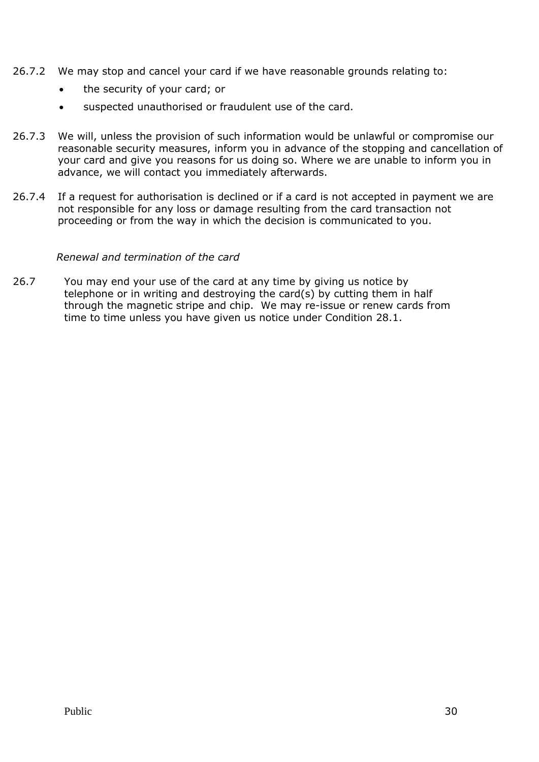- 26.7.2 We may stop and cancel your card if we have reasonable grounds relating to:
	- the security of your card; or
	- suspected unauthorised or fraudulent use of the card.
- 26.7.3 We will, unless the provision of such information would be unlawful or compromise our reasonable security measures, inform you in advance of the stopping and cancellation of your card and give you reasons for us doing so. Where we are unable to inform you in advance, we will contact you immediately afterwards.
- 26.7.4 If a request for authorisation is declined or if a card is not accepted in payment we are not responsible for any loss or damage resulting from the card transaction not proceeding or from the way in which the decision is communicated to you.

#### *Renewal and termination of the card*

26.7 You may end your use of the card at any time by giving us notice by telephone or in writing and destroying the card(s) by cutting them in half through the magnetic stripe and chip. We may re-issue or renew cards from time to time unless you have given us notice under Condition 28.1.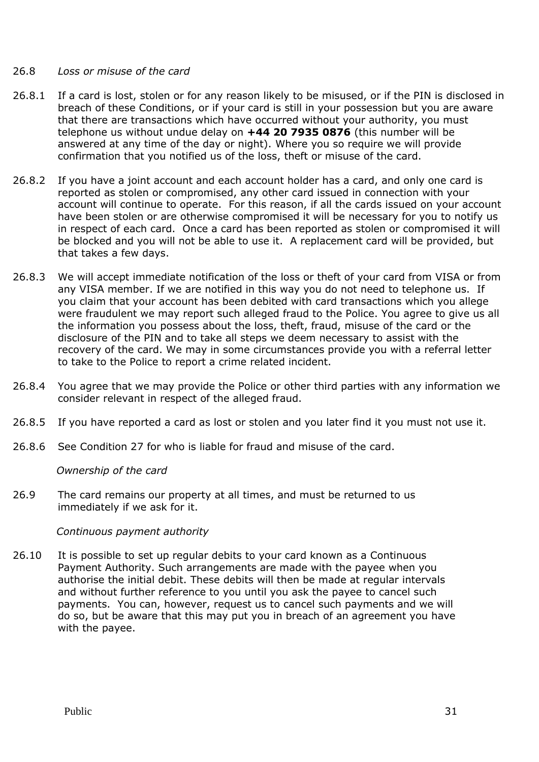#### 26.8 *Loss or misuse of the card*

- 26.8.1 If a card is lost, stolen or for any reason likely to be misused, or if the PIN is disclosed in breach of these Conditions, or if your card is still in your possession but you are aware that there are transactions which have occurred without your authority, you must telephone us without undue delay on **+44 20 7935 0876** (this number will be answered at any time of the day or night). Where you so require we will provide confirmation that you notified us of the loss, theft or misuse of the card.
- 26.8.2 If you have a joint account and each account holder has a card, and only one card is reported as stolen or compromised, any other card issued in connection with your account will continue to operate. For this reason, if all the cards issued on your account have been stolen or are otherwise compromised it will be necessary for you to notify us in respect of each card. Once a card has been reported as stolen or compromised it will be blocked and you will not be able to use it. A replacement card will be provided, but that takes a few days.
- 26.8.3 We will accept immediate notification of the loss or theft of your card from VISA or from any VISA member. If we are notified in this way you do not need to telephone us. If you claim that your account has been debited with card transactions which you allege were fraudulent we may report such alleged fraud to the Police. You agree to give us all the information you possess about the loss, theft, fraud, misuse of the card or the disclosure of the PIN and to take all steps we deem necessary to assist with the recovery of the card. We may in some circumstances provide you with a referral letter to take to the Police to report a crime related incident.
- 26.8.4 You agree that we may provide the Police or other third parties with any information we consider relevant in respect of the alleged fraud.
- 26.8.5 If you have reported a card as lost or stolen and you later find it you must not use it.
- 26.8.6 See Condition 27 for who is liable for fraud and misuse of the card.

#### *Ownership of the card*

26.9 The card remains our property at all times, and must be returned to us immediately if we ask for it.

#### *Continuous payment authority*

26.10 It is possible to set up regular debits to your card known as a Continuous Payment Authority. Such arrangements are made with the payee when you authorise the initial debit. These debits will then be made at regular intervals and without further reference to you until you ask the payee to cancel such payments. You can, however, request us to cancel such payments and we will do so, but be aware that this may put you in breach of an agreement you have with the payee.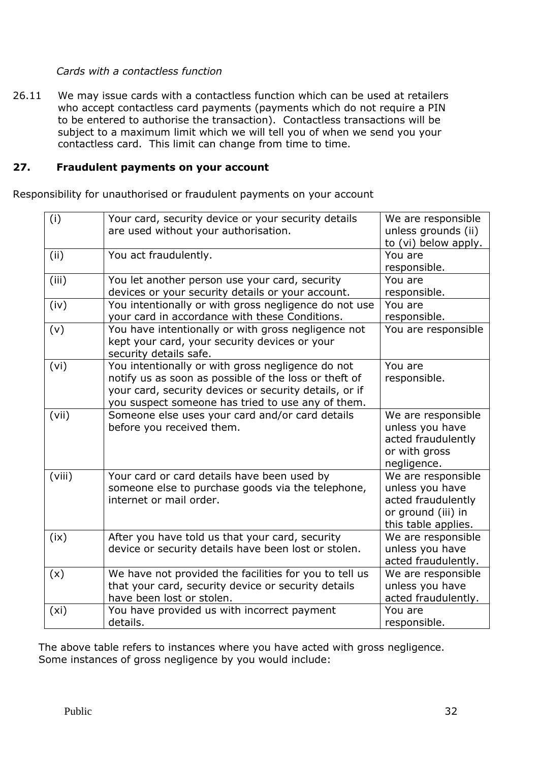# *Cards with a contactless function*

26.11 We may issue cards with a contactless function which can be used at retailers who accept contactless card payments (payments which do not require a PIN to be entered to authorise the transaction). Contactless transactions will be subject to a maximum limit which we will tell you of when we send you your contactless card. This limit can change from time to time.

# <span id="page-31-0"></span>**27. Fraudulent payments on your account**

Responsibility for unauthorised or fraudulent payments on your account

| (i)               | Your card, security device or your security details<br>are used without your authorisation.                                                                                                                               | We are responsible<br>unless grounds (ii)<br>to (vi) below apply.                                        |
|-------------------|---------------------------------------------------------------------------------------------------------------------------------------------------------------------------------------------------------------------------|----------------------------------------------------------------------------------------------------------|
| (ii)              | You act fraudulently.                                                                                                                                                                                                     | You are<br>responsible.                                                                                  |
| (iii)             | You let another person use your card, security<br>devices or your security details or your account.                                                                                                                       | You are<br>responsible.                                                                                  |
| (iv)              | You intentionally or with gross negligence do not use<br>your card in accordance with these Conditions.                                                                                                                   | You are<br>responsible.                                                                                  |
| (v)               | You have intentionally or with gross negligence not<br>kept your card, your security devices or your<br>security details safe.                                                                                            | You are responsible                                                                                      |
| (vi)              | You intentionally or with gross negligence do not<br>notify us as soon as possible of the loss or theft of<br>your card, security devices or security details, or if<br>you suspect someone has tried to use any of them. | You are<br>responsible.                                                                                  |
| (vii)             | Someone else uses your card and/or card details<br>before you received them.                                                                                                                                              | We are responsible<br>unless you have<br>acted fraudulently<br>or with gross<br>negligence.              |
| (viii)            | Your card or card details have been used by<br>someone else to purchase goods via the telephone,<br>internet or mail order.                                                                                               | We are responsible<br>unless you have<br>acted fraudulently<br>or ground (iii) in<br>this table applies. |
| (ix)              | After you have told us that your card, security<br>device or security details have been lost or stolen.                                                                                                                   | We are responsible<br>unless you have<br>acted fraudulently.                                             |
| (x)               | We have not provided the facilities for you to tell us<br>that your card, security device or security details<br>have been lost or stolen.                                                                                | We are responsible<br>unless you have<br>acted fraudulently.                                             |
| (x <sub>i</sub> ) | You have provided us with incorrect payment<br>details.                                                                                                                                                                   | You are<br>responsible.                                                                                  |

The above table refers to instances where you have acted with gross negligence. Some instances of gross negligence by you would include: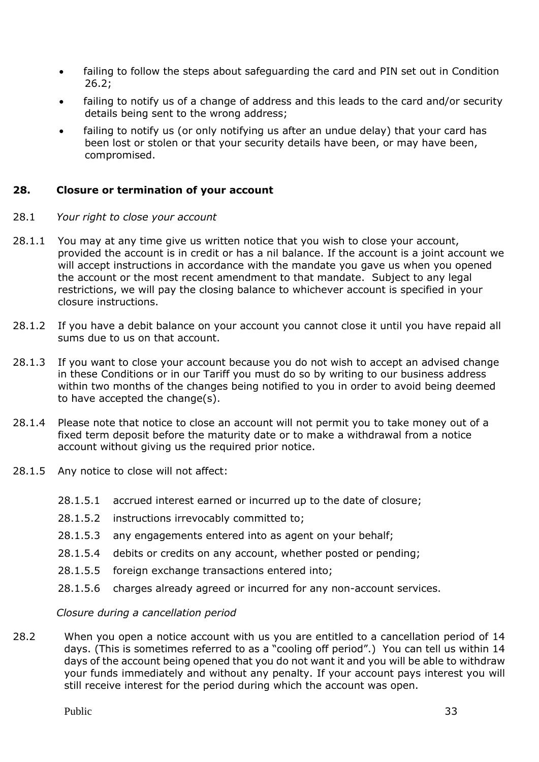- failing to follow the steps about safeguarding the card and PIN set out in Condition 26.2;
- failing to notify us of a change of address and this leads to the card and/or security details being sent to the wrong address;
- failing to notify us (or only notifying us after an undue delay) that your card has been lost or stolen or that your security details have been, or may have been, compromised.

# <span id="page-32-0"></span>**28. Closure or termination of your account**

#### 28.1 *Your right to close your account*

- 28.1.1 You may at any time give us written notice that you wish to close your account, provided the account is in credit or has a nil balance. If the account is a joint account we will accept instructions in accordance with the mandate you gave us when you opened the account or the most recent amendment to that mandate. Subject to any legal restrictions, we will pay the closing balance to whichever account is specified in your closure instructions.
- 28.1.2 If you have a debit balance on your account you cannot close it until you have repaid all sums due to us on that account.
- 28.1.3 If you want to close your account because you do not wish to accept an advised change in these Conditions or in our Tariff you must do so by writing to our business address within two months of the changes being notified to you in order to avoid being deemed to have accepted the change(s).
- 28.1.4 Please note that notice to close an account will not permit you to take money out of a fixed term deposit before the maturity date or to make a withdrawal from a notice account without giving us the required prior notice.
- 28.1.5 Any notice to close will not affect:
	- 28.1.5.1 accrued interest earned or incurred up to the date of closure;
	- 28.1.5.2 instructions irrevocably committed to;
	- 28.1.5.3 any engagements entered into as agent on your behalf;
	- 28.1.5.4 debits or credits on any account, whether posted or pending;
	- 28.1.5.5 foreign exchange transactions entered into;
	- 28.1.5.6 charges already agreed or incurred for any non-account services.

# *Closure during a cancellation period*

28.2 When you open a notice account with us you are entitled to a cancellation period of 14 days. (This is sometimes referred to as a "cooling off period".) You can tell us within 14 days of the account being opened that you do not want it and you will be able to withdraw your funds immediately and without any penalty. If your account pays interest you will still receive interest for the period during which the account was open.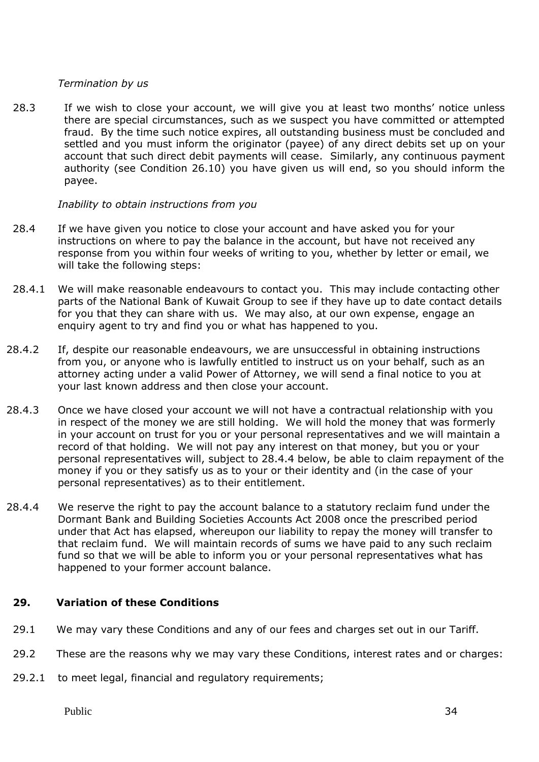#### *Termination by us*

28.3 If we wish to close your account, we will give you at least two months' notice unless there are special circumstances, such as we suspect you have committed or attempted fraud. By the time such notice expires, all outstanding business must be concluded and settled and you must inform the originator (payee) of any direct debits set up on your account that such direct debit payments will cease. Similarly, any continuous payment authority (see Condition 26.10) you have given us will end, so you should inform the payee.

#### *Inability to obtain instructions from you*

- 28.4 If we have given you notice to close your account and have asked you for your instructions on where to pay the balance in the account, but have not received any response from you within four weeks of writing to you, whether by letter or email, we will take the following steps:
- 28.4.1 We will make reasonable endeavours to contact you. This may include contacting other parts of the National Bank of Kuwait Group to see if they have up to date contact details for you that they can share with us. We may also, at our own expense, engage an enquiry agent to try and find you or what has happened to you.
- 28.4.2 If, despite our reasonable endeavours, we are unsuccessful in obtaining instructions from you, or anyone who is lawfully entitled to instruct us on your behalf, such as an attorney acting under a valid Power of Attorney, we will send a final notice to you at your last known address and then close your account.
- 28.4.3 Once we have closed your account we will not have a contractual relationship with you in respect of the money we are still holding. We will hold the money that was formerly in your account on trust for you or your personal representatives and we will maintain a record of that holding. We will not pay any interest on that money, but you or your personal representatives will, subject to 28.4.4 below, be able to claim repayment of the money if you or they satisfy us as to your or their identity and (in the case of your personal representatives) as to their entitlement.
- 28.4.4 We reserve the right to pay the account balance to a statutory reclaim fund under the Dormant Bank and Building Societies Accounts Act 2008 once the prescribed period under that Act has elapsed, whereupon our liability to repay the money will transfer to that reclaim fund. We will maintain records of sums we have paid to any such reclaim fund so that we will be able to inform you or your personal representatives what has happened to your former account balance.

#### <span id="page-33-0"></span>**29. Variation of these Conditions**

- 29.1 We may vary these Conditions and any of our fees and charges set out in our Tariff.
- 29.2 These are the reasons why we may vary these Conditions, interest rates and or charges:
- 29.2.1 to meet legal, financial and regulatory requirements;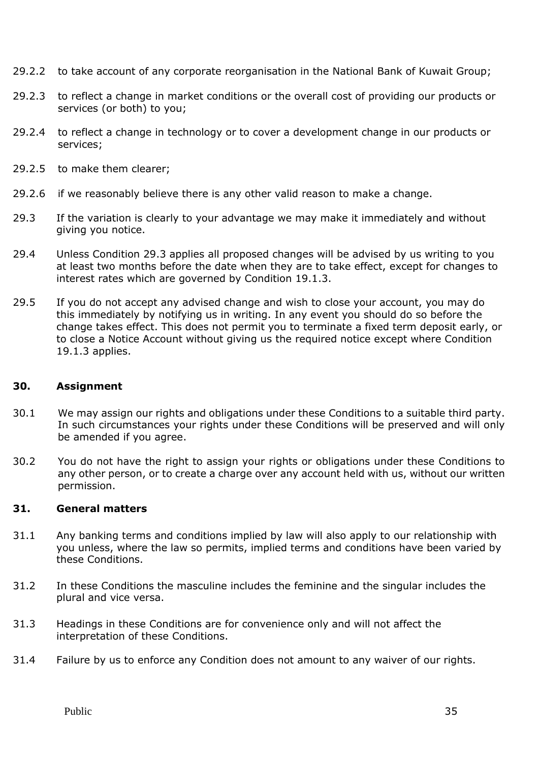- 29.2.2 to take account of any corporate reorganisation in the National Bank of Kuwait Group;
- 29.2.3 to reflect a change in market conditions or the overall cost of providing our products or services (or both) to you;
- 29.2.4 to reflect a change in technology or to cover a development change in our products or services;
- 29.2.5 to make them clearer;
- 29.2.6 if we reasonably believe there is any other valid reason to make a change.
- 29.3 If the variation is clearly to your advantage we may make it immediately and without giving you notice.
- 29.4 Unless Condition 29.3 applies all proposed changes will be advised by us writing to you at least two months before the date when they are to take effect, except for changes to interest rates which are governed by Condition 19.1.3.
- 29.5 If you do not accept any advised change and wish to close your account, you may do this immediately by notifying us in writing. In any event you should do so before the change takes effect. This does not permit you to terminate a fixed term deposit early, or to close a Notice Account without giving us the required notice except where Condition 19.1.3 applies.

#### <span id="page-34-0"></span>**30. Assignment**

- 30.1 We may assign our rights and obligations under these Conditions to a suitable third party. In such circumstances your rights under these Conditions will be preserved and will only be amended if you agree.
- 30.2 You do not have the right to assign your rights or obligations under these Conditions to any other person, or to create a charge over any account held with us, without our written permission.

#### <span id="page-34-1"></span>**31. General matters**

- 31.1 Any banking terms and conditions implied by law will also apply to our relationship with you unless, where the law so permits, implied terms and conditions have been varied by these Conditions.
- 31.2 In these Conditions the masculine includes the feminine and the singular includes the plural and vice versa.
- 31.3 Headings in these Conditions are for convenience only and will not affect the interpretation of these Conditions.
- 31.4 Failure by us to enforce any Condition does not amount to any waiver of our rights.